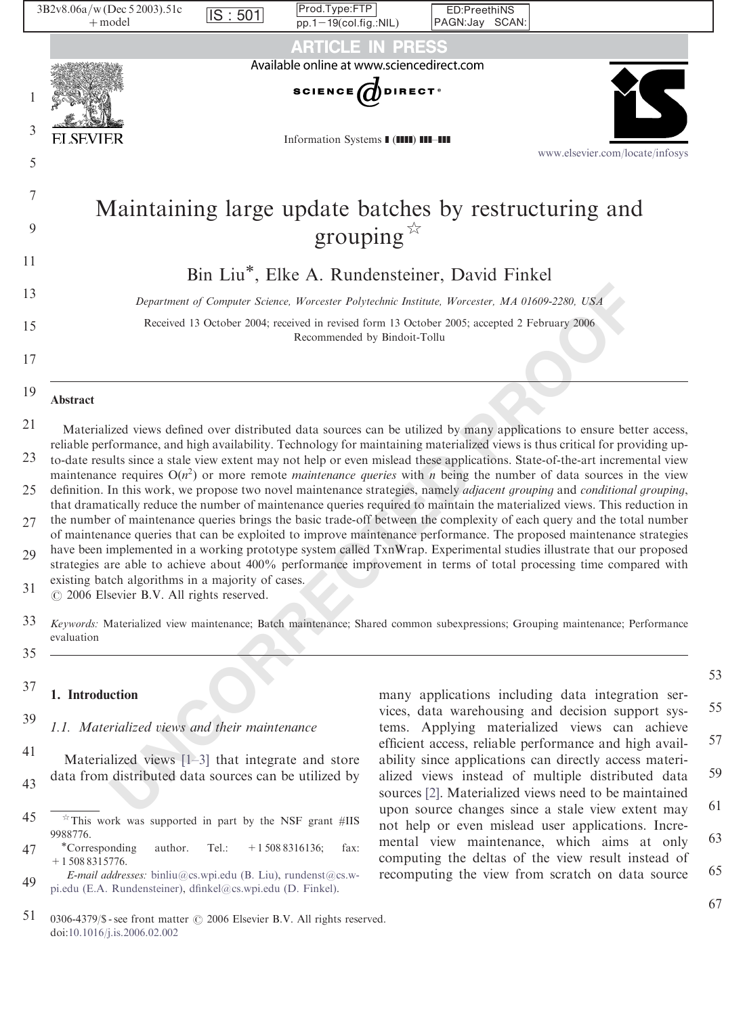|    |   | 3B2v8.06a/w (Dec 5 2003).51c<br>$+$ model             | IS:501 | Prod.Type:FTP<br>$pp.1-19$ (col.fig.:NIL) | ED:PreethiNS<br>PAGN:Jay SCAN:                                                                 |                                                                                                                                                                                                                                                                    |  |
|----|---|-------------------------------------------------------|--------|-------------------------------------------|------------------------------------------------------------------------------------------------|--------------------------------------------------------------------------------------------------------------------------------------------------------------------------------------------------------------------------------------------------------------------|--|
|    |   |                                                       |        | <b>ARTICLE IN PRESS</b>                   |                                                                                                |                                                                                                                                                                                                                                                                    |  |
|    |   |                                                       |        | Available online at www.sciencedirect.com |                                                                                                |                                                                                                                                                                                                                                                                    |  |
|    |   |                                                       |        | <b>SCIENCE</b> ODIRECT <sup>®</sup>       |                                                                                                |                                                                                                                                                                                                                                                                    |  |
|    | 3 |                                                       |        |                                           |                                                                                                |                                                                                                                                                                                                                                                                    |  |
|    |   | <b>ELSEVIER</b>                                       |        | Information Systems I (IIII) III-III      |                                                                                                | www.elsevier.com/locate/infosys                                                                                                                                                                                                                                    |  |
|    | 5 |                                                       |        |                                           |                                                                                                |                                                                                                                                                                                                                                                                    |  |
|    | 7 |                                                       |        |                                           |                                                                                                | Maintaining large update batches by restructuring and                                                                                                                                                                                                              |  |
| 9  |   |                                                       |        | grouping $\overline{\mathbb{X}}$          |                                                                                                |                                                                                                                                                                                                                                                                    |  |
| 11 |   |                                                       |        |                                           |                                                                                                |                                                                                                                                                                                                                                                                    |  |
|    |   |                                                       |        |                                           | Bin Liu*, Elke A. Rundensteiner, David Finkel                                                  |                                                                                                                                                                                                                                                                    |  |
| 13 |   |                                                       |        |                                           | Department of Computer Science, Worcester Polytechnic Institute, Worcester, MA 01609-2280, USA |                                                                                                                                                                                                                                                                    |  |
| 15 |   |                                                       |        | Recommended by Bindoit-Tollu              | Received 13 October 2004; received in revised form 13 October 2005; accepted 2 February 2006   |                                                                                                                                                                                                                                                                    |  |
| 17 |   |                                                       |        |                                           |                                                                                                |                                                                                                                                                                                                                                                                    |  |
| 19 |   |                                                       |        |                                           |                                                                                                |                                                                                                                                                                                                                                                                    |  |
| 21 |   | Abstract                                              |        |                                           |                                                                                                |                                                                                                                                                                                                                                                                    |  |
|    |   |                                                       |        |                                           |                                                                                                | Materialized views defined over distributed data sources can be utilized by many applications to ensure better access,<br>reliable performance, and high availability. Technology for maintaining materialized views is thus critical for providing up-            |  |
| 23 |   |                                                       |        |                                           |                                                                                                | to-date results since a stale view extent may not help or even mislead these applications. State-of-the-art incremental view<br>maintenance requires $O(n^2)$ or more remote <i>maintenance queries</i> with <i>n</i> being the number of data sources in the view |  |
| 25 |   |                                                       |        |                                           |                                                                                                | definition. In this work, we propose two novel maintenance strategies, namely <i>adjacent grouping</i> and <i>conditional grouping</i> ,                                                                                                                           |  |
| 27 |   |                                                       |        |                                           |                                                                                                | that dramatically reduce the number of maintenance queries required to maintain the materialized views. This reduction in<br>the number of maintenance queries brings the basic trade-off between the complexity of each query and the total number                |  |
| 29 |   |                                                       |        |                                           |                                                                                                | of maintenance queries that can be exploited to improve maintenance performance. The proposed maintenance strategies<br>have been implemented in a working prototype system called TxnWrap. Experimental studies illustrate that our proposed                      |  |
|    |   | existing batch algorithms in a majority of cases.     |        |                                           |                                                                                                | strategies are able to achieve about 400% performance improvement in terms of total processing time compared with                                                                                                                                                  |  |
| 31 |   | © 2006 Elsevier B.V. All rights reserved.             |        |                                           |                                                                                                |                                                                                                                                                                                                                                                                    |  |
| 33 |   |                                                       |        |                                           |                                                                                                | Keywords: Materialized view maintenance; Batch maintenance; Shared common subexpressions; Grouping maintenance; Performance                                                                                                                                        |  |
| 35 |   | evaluation                                            |        |                                           |                                                                                                |                                                                                                                                                                                                                                                                    |  |
| 37 |   |                                                       |        |                                           |                                                                                                |                                                                                                                                                                                                                                                                    |  |
|    |   | 1. Introduction                                       |        |                                           |                                                                                                | many applications including data integration ser-<br>vices, data warehousing and decision support sys-                                                                                                                                                             |  |
| 39 |   | 1.1. Materialized views and their maintenance         |        |                                           |                                                                                                | tems. Applying materialized views can achieve                                                                                                                                                                                                                      |  |
| 41 |   | Materialized views $[1-3]$ that integrate and store   |        |                                           |                                                                                                | efficient access, reliable performance and high avail-<br>ability since applications can directly access materi-                                                                                                                                                   |  |
| 43 |   | data from distributed data sources can be utilized by |        |                                           |                                                                                                | alized views instead of multiple distributed data<br>sources [2]. Materialized views need to be maintained                                                                                                                                                         |  |
|    |   |                                                       |        |                                           |                                                                                                | upon source changes since a stale view extent may                                                                                                                                                                                                                  |  |

ED:PreethiNS

- that dramatically reduce the number of maintenance queries required to maintain the materialized views. This reduction in the number of maintenance queries brings the basic trade-off between the complexity of each query and the total number 27
- of maintenance queries that can be exploited to improve maintenance performance. The proposed maintenance strategies have been implemented in a working prototype system called TxnWrap. Experimental studies illustrate that our proposed 29
- strategies are able to achieve about 400% performance improvement in terms of total processing time compared with existing batch algorithms in a majority of cases.
- $O$  2006 Elsevier B.V. All rights reserved. 31

 $2D2v806a/m$  Dec 5 2002) 51c

- Keywords: Materialized view maintenance; Batch maintenance; Shared common subexpressions; Grouping maintenance; Performance evaluation 33
- 35

#### 1. Introduction 37

- 47 +1 508 8315776.
- 49 E-mail addresses: [binliu@cs.wpi.edu \(B. Liu\)](mailto:binliu@cs.wpi.edu), [rundenst@cs.w](mailto:rundenst@cs.wpi.edu)[pi.edu \(E.A. Rundensteiner\),](mailto:rundenst@cs.wpi.edu) [dfinkel@cs.wpi.edu \(D. Finkel\).](mailto:dfinkel@cs.wpi.edu)

51 0306-4379/\$ - see front matter  $\odot$  2006 Elsevier B.V. All rights reserved. doi:[10.1016/j.is.2006.02.002](dx.doi.org/10.1016/j.is.2006.02.002)

67

<sup>45</sup>  $*$ This work was supported in part by the NSF grant #IIS 9988776.<br>
\*Corresponding author. Tel.: +1508 8316136; fax:

many applications including data integration services, data warehousing and decision support systems. Applying materialized views can achieve efficient access, reliable performance and high availability since applications can directly access materialized views instead of multiple distributed data sources [2]. Materialized views need to be maintained upon source changes since a stale view extent may not help or even mislead user applications. Incremental view maintenance, which aims at only computing the deltas of the view result instead of recomputing the view from scratch on data source 55 57 59 61 63 65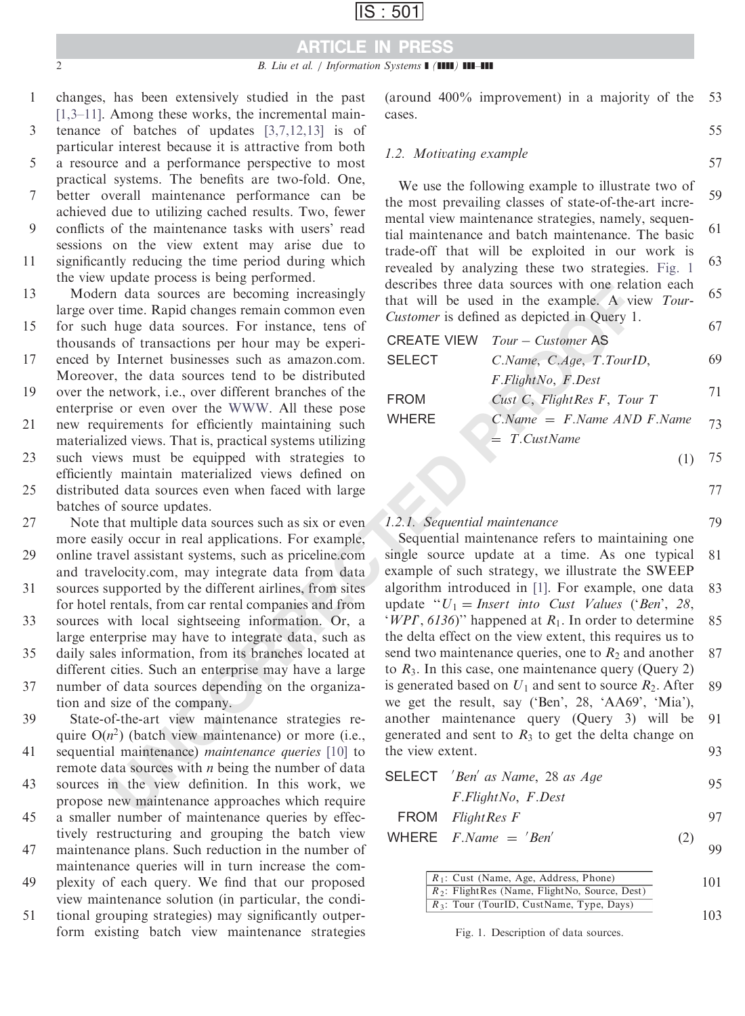# ARTICLE IN PRESS

changes, has been extensively studied in the past [\[1,3–11\]](#page-18-0). Among these works, the incremental maintenance of batches of updates [\[3,7,12,13\]](#page-18-0) is of particular interest because it is attractive from both a resource and a performance perspective to most practical systems. The benefits are two-fold. One, better overall maintenance performance can be achieved due to utilizing cached results. Two, fewer conflicts of the maintenance tasks with users' read sessions on the view extent may arise due to significantly reducing the time period during which 1 3 5 7 9 11

the view update process is being performed.

Modern data sources are becoming increasingly large over time. Rapid changes remain common even 13

for such huge data sources. For instance, tens of thousands of transactions per hour may be experi-15

enced by Internet businesses such as amazon.com. Moreover, the data sources tend to be distributed 17

over the network, i.e., over different branches of the enterprise or even over the WWW. All these pose new requirements for efficiently maintaining such materialized views. That is, practical systems utilizing such views must be equipped with strategies to efficiently maintain materialized views defined on 19 21 23

distributed data sources even when faced with large batches of source updates. 25

Note that multiple data sources such as six or even more easily occur in real applications. For example, 27

online travel assistant systems, such as priceline.com and travelocity.com, may integrate data from data 29

sources supported by the different airlines, from sites for hotel rentals, from car rental companies and from 31

sources with local sightseeing information. Or, a large enterprise may have to integrate data, such as daily sales information, from its branches located at different cities. Such an enterprise may have a large 33 35

number of data sources depending on the organization and size of the company. 37

State-of-the-art view maintenance strategies require  $O(n^2)$  (batch view maintenance) or more (i.e., sequential maintenance) *maintenance queries* [10] to remote data sources with  $n$  being the number of data 39 41

sources in the view definition. In this work, we propose new maintenance approaches which require 43

a smaller number of maintenance queries by effectively restructuring and grouping the batch view 45

maintenance plans. Such reduction in the number of maintenance queries will in turn increase the com-47

plexity of each query. We find that our proposed view maintenance solution (in particular, the condi-49

tional grouping strategies) may significantly outperform existing batch view maintenance strategies 51

(around 400% improvement) in a majority of the cases. 53

55

57

### 1.2. Motivating example

We use the following example to illustrate two of the most prevailing classes of state-of-the-art incremental view maintenance strategies, namely, sequential maintenance and batch maintenance. The basic trade-off that will be exploited in our work is revealed by analyzing these two strategies. Fig. 1 describes three data sources with one relation each that will be used in the example. A view Tour-Customer is defined as depicted in Query 1. 59 61 63 65 67

|               | <b>CREATE VIEW</b> Tour - Customer AS |    |
|---------------|---------------------------------------|----|
| <b>SELECT</b> | C.Name, C.Age, T.TourID,              | 69 |
|               | F.FlightNo, F.Dest                    |    |
| <b>FROM</b>   | Cust C, FlightRes F, Tour T           | 71 |
| <b>WHERE</b>  | $C(Name = F.Name AND F.Name)$         | 73 |
|               | $= T.CustName$                        |    |
|               |                                       | 75 |

77

79

### 1.2.1. Sequential maintenance

**1** data sources are becoming increasingly destrues three data sources with one real<br>
in this. Napid changes remain common even the current is defined as depicted in Ouey 1.<br>
the Rapid changes remain common even the CHATE Sequential maintenance refers to maintaining one single source update at a time. As one typical example of such strategy, we illustrate the SWEEP algorithm introduced in [1]. For example, one data update " $U_1$  = Insert into Cust Values ('Ben', 28, 'WPI',  $6136$ '' happened at  $R_1$ . In order to determine the delta effect on the view extent, this requires us to send two maintenance queries, one to  $R_2$  and another to  $R_3$ . In this case, one maintenance query (Query 2) is generated based on  $U_1$  and sent to source  $R_2$ . After we get the result, say ('Ben', 28, 'AA69', 'Mia'), another maintenance query (Query 3) will be generated and sent to  $R_3$  to get the delta change on the view extent. 81 83 85 87 89 91 93

| <b>SELECT</b> 'Ben' as Name, 28 as Age | 95 |
|----------------------------------------|----|
| F.FlightNo, F.Dest                     |    |
| FROM $FlightRes$ $F$                   |    |

#### WHERE  $F.Name = 'Ben'$  (2) **99**

| $R_1$ : Cust (Name, Age, Address, Phone)           | 101 |
|----------------------------------------------------|-----|
| $R_2$ : Flight Res (Name, Flight No, Source, Dest) |     |
| $R_3$ : Tour (TourID, CustName, Type, Days)        |     |
|                                                    | 103 |

Fig. 1. Description of data sources.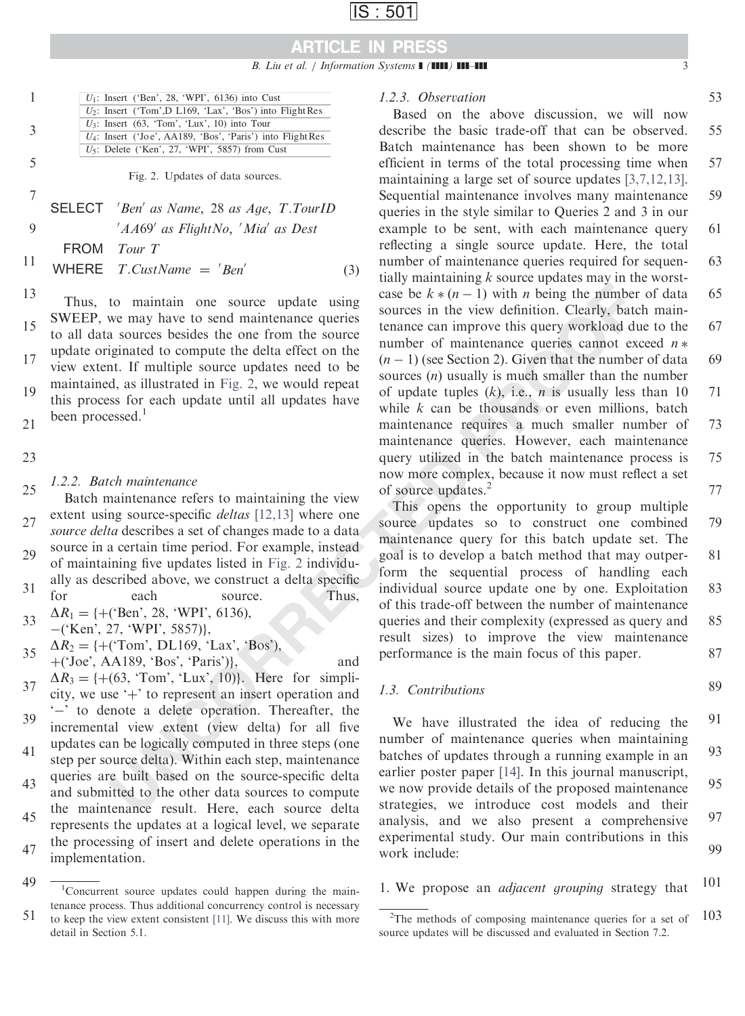

| $U_1$ : Insert ('Ben', 28, 'WPI', 6136) into Cust             |
|---------------------------------------------------------------|
| $U_2$ : Insert ('Tom', D L169, 'Lax', 'Bos') into Flight Res  |
| $U_3$ : Insert (63, 'Tom', 'Lux', 10) into Tour               |
| $U_4$ : Insert ('Joe', AA189, 'Bos', 'Paris') into Flight Res |
| $U_5$ : Delete ('Ken', 27, 'WPI', 5857) from Cust             |
|                                                               |

Fig. 2. Updates of data sources.

SELECT 'Ben' as Name, 28 as Age, T.TourID 'AA69' as FlightNo, 'Mia' as Dest FROM Tour T WHERE  $T.CustName = 'Ben'$  (3) 7 9 11

13

1

3

5

Thus, to maintain one source update using SWEEP, we may have to send maintenance queries to all data sources besides the one from the source update originated to compute the delta effect on the view extent. If multiple source updates need to be maintained, as illustrated in Fig. 2, we would repeat this process for each update until all updates have been processed. $<sup>1</sup>$ </sup> 15 17 19

21

23

### 1.2.2. Batch maintenance

Batch maintenance refers to maintaining the view extent using source-specific *deltas* [12,13] where one source delta describes a set of changes made to a data source in a certain time period. For example, instead of maintaining five updates listed in Fig. 2 individu-25 27 29

ally as described above, we construct a delta specific for each source. Thus, 31

 $\Delta R_1 = \{+(^{\circ} \text{Ben}^{\circ}, 28, ^{\circ} \text{WPI}^{\circ}, 6136),\}$ 33

 $-($ Ken', 27, 'WPI', 5857)},

 $\Delta R_2 = \{+($  Tom', DL169, 'Lax', 'Bos'), 35

 $+( 'Joe', AA189, 'Bos', 'Paris')\},$  and  $\Delta R_3 = \{+(63, \text{ Tom}^{\prime}, \text{ 'Lux'}, 10)\}.$  Here for simplicity, we use  $+$  to represent an insert operation and '-' to denote a delete operation. Thereafter, the 37 39

incremental view extent (view delta) for all five updates can be logically computed in three steps (one

step per source delta). Within each step, maintenance queries are built based on the source-specific delta and submitted to the other data sources to compute 41 43

the maintenance result. Here, each source delta represents the updates at a logical level, we separate the processing of insert and delete operations in the implementation. 45 47

### 1.2.3. Observation

to maintain one source update using case be  $k*(n-1)$  with *n* being the number<br>we may have to seed maintenance queries sources in the view definition. Clearly, back<br>gignated to compute the delta effect on the sources tena Based on the above discussion, we will now describe the basic trade-off that can be observed. Batch maintenance has been shown to be more efficient in terms of the total processing time when maintaining a large set of source updates [\[3,7,12,13\]](#page-18-0). Sequential maintenance involves many maintenance queries in the style similar to Queries 2 and 3 in our example to be sent, with each maintenance query reflecting a single source update. Here, the total number of maintenance queries required for sequentially maintaining  $k$  source updates may in the worstcase be  $k * (n - 1)$  with *n* being the number of data sources in the view definition. Clearly, batch maintenance can improve this query workload due to the number of maintenance queries cannot exceed  $n *$  $(n - 1)$  (see Section 2). Given that the number of data sources  $(n)$  usually is much smaller than the number of update tuples  $(k)$ , i.e., *n* is usually less than 10 while  $k$  can be thousands or even millions, batch maintenance requires a much smaller number of maintenance queries. However, each maintenance query utilized in the batch maintenance process is now more complex, because it now must reflect a set of source updates.<sup>2</sup> 55 57 59 61 63 65 67 69 71 73 75 77

This opens the opportunity to group multiple source updates so to construct one combined maintenance query for this batch update set. The goal is to develop a batch method that may outperform the sequential process of handling each individual source update one by one. Exploitation of this trade-off between the number of maintenance queries and their complexity (expressed as query and result sizes) to improve the view maintenance performance is the main focus of this paper. 79 81 83 85 87

### 1.3. Contributions

89

We have illustrated the idea of reducing the number of maintenance queries when maintaining batches of updates through a running example in an earlier poster paper [14]. In this journal manuscript, we now provide details of the proposed maintenance strategies, we introduce cost models and their analysis, and we also present a comprehensive experimental study. Our main contributions in this work include: 91 93 95 97 99

1. We propose an adjacent grouping strategy that 101

<sup>49</sup> 51 <sup>1</sup>Concurrent source updates could happen during the maintenance process. Thus additional concurrency control is necessary to keep the view extent consistent [\[11\].](#page-18-0) We discuss this with more detail in Section 5.1.

<sup>103</sup> <sup>2</sup>The methods of composing maintenance queries for a set of source updates will be discussed and evaluated in Section 7.2.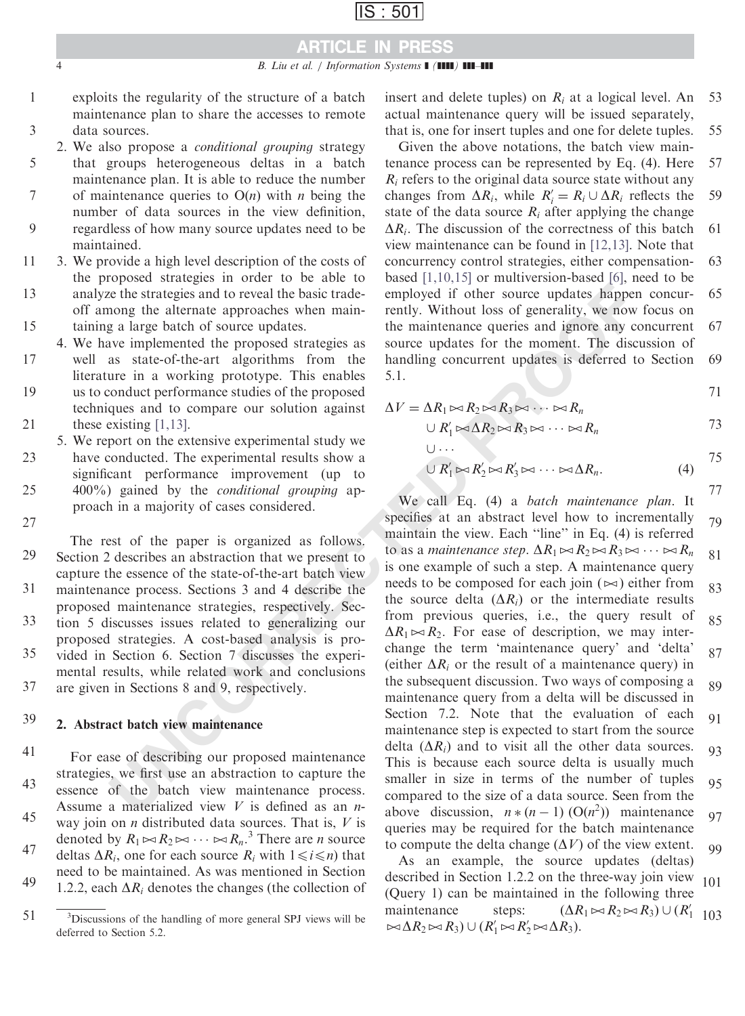# ARTICLE IN PRESS

- exploits the regularity of the structure of a batch maintenance plan to share the accesses to remote data sources. 1 3
- 2. We also propose a conditional grouping strategy that groups heterogeneous deltas in a batch maintenance plan. It is able to reduce the number of maintenance queries to  $O(n)$  with *n* being the number of data sources in the view definition, regardless of how many source updates need to be maintained. 5 7 9
- 3. We provide a high level description of the costs of the proposed strategies in order to be able to analyze the strategies and to reveal the basic tradeoff among the alternate approaches when maintaining a large batch of source updates. 11 13 15
- 4. We have implemented the proposed strategies as
- well as state-of-the-art algorithms from the literature in a working prototype. This enables us to conduct performance studies of the proposed techniques and to compare our solution against these existing [1,13]. 17 19 21
- 5. We report on the extensive experimental study we have conducted. The experimental results show a significant performance improvement (up to 400%) gained by the conditional grouping approach in a majority of cases considered. 23 25

The rest of the paper is organized as follows. Section 2 describes an abstraction that we present to capture the essence of the state-of-the-art batch view maintenance process. Sections 3 and 4 describe the proposed maintenance strategies, respectively. Section 5 discusses issues related to generalizing our proposed strategies. A cost-based analysis is provided in Section 6. Section 7 discusses the experimental results, while related work and conclusions 27 29 31 33 35

are given in Sections 8 and 9, respectively. 37

#### 2. Abstract batch view maintenance 39

For ease of describing our proposed maintenance strategies, we first use an abstraction to capture the essence of the batch view maintenance process. Assume a materialized view  $V$  is defined as an *n*way join on  $n$  distributed data sources. That is,  $V$  is denoted by  $R_1 \Join R_2 \Join \cdots \Join R_n$ <sup>3</sup> There are *n* source deltas  $\Delta R_i$ , one for each source  $R_i$  with  $1 \le i \le n$ ) that need to be maintained. As was mentioned in Section 1.2.2, each  $\Delta R_i$  denotes the changes (the collection of 41 43 45 47 49

insert and delete tuples) on  $R_i$  at a logical level. An actual maintenance query will be issued separately, that is, one for insert tuples and one for delete tuples. 53 55

Given the above notations, the batch view maintenance process can be represented by Eq. (4). Here  $R_i$  refers to the original data source state without any changes from  $\Delta R_i$ , while  $R'_i = R_i \cup \Delta R_i$  reflects the state of the data source  $R_i$  after applying the change  $\Delta R_i$ . The discussion of the correctness of this batch view maintenance can be found in [\[12,13\].](#page-18-0) Note that concurrency control strategies, either compensationbased [\[1,10,15\]](#page-18-0) or multiversion-based [\[6\],](#page-18-0) need to be employed if other source updates happen concurrently. Without loss of generality, we now focus on the maintenance queries and ignore any concurrent source updates for the moment. The discussion of handling concurrent updates is deferred to Section 5.1. 57 59 61 63 65 67 69

$$
71\,
$$

$$
\Delta V = \Delta R_1 \bowtie R_2 \bowtie R_3 \bowtie \cdots \bowtie R_n
$$

 $\Box$ ...

$$
\cup R'_1 \bowtie \Delta R_2 \bowtie R_3 \bowtie \cdots \bowtie R_n \tag{73}
$$

$$
\overline{\bigcup R'_1 \bowtie R'_2 \bowtie R'_3 \bowtie \cdots \bowtie \Delta R_n}.
$$
 (4) 75

e the strategies and to reveal the basic trade-<br>
e the strategies and to reveal the basic trade-<br>
imply. Without loss of generality, we now implemented the proposed strategies when main-<br>
rently. Without loss of generalit We call Eq. (4) a batch maintenance plan. It specifies at an abstract level how to incrementally maintain the view. Each "line" in Eq. (4) is referred to as a *maintenance step.*  $\Delta R_1 \bowtie R_2 \bowtie R_3 \bowtie \cdots \bowtie R_n$ is one example of such a step. A maintenance query needs to be composed for each join  $(\infty)$  either from the source delta  $(\Delta R_i)$  or the intermediate results from previous queries, i.e., the query result of  $\Delta R_1 \bowtie R_2$ . For ease of description, we may interchange the term 'maintenance query' and 'delta' (either  $\Delta R_i$  or the result of a maintenance query) in the subsequent discussion. Two ways of composing a maintenance query from a delta will be discussed in Section 7.2. Note that the evaluation of each maintenance step is expected to start from the source delta  $(\Delta R_i)$  and to visit all the other data sources. This is because each source delta is usually much smaller in size in terms of the number of tuples compared to the size of a data source. Seen from the above discussion,  $n * (n - 1) (O(n^2))$  maintenance queries may be required for the batch maintenance to compute the delta change  $(\Delta V)$  of the view extent. 77 79 81 83 85 87 89 91 93 95 97 99

As an example, the source updates (deltas) described in Section 1.2.2 on the three-way join view (Query 1) can be maintained in the following three maintenance steps:  $(\Delta R_1 \bowtie R_2 \bowtie R_3) \cup (R'_1)$  $\bowtie \Delta R_2 \bowtie R_3) \cup (R'_1 \bowtie R'_2 \bowtie \Delta R_3).$ 101 <sup>3</sup>Discussions of the handling of more general SPJ views will be  $\mathbf{A} \cdot \mathbf{B}$   $\mathbf{A} \cdot \mathbf{B}$   $\mathbf{A} \cdot \mathbf{B}$   $\mathbf{A} \cdot \mathbf{B}$   $\mathbf{A} \cdot \mathbf{B}$   $\mathbf{A} \cdot \mathbf{B}$   $\mathbf{A} \cdot \mathbf{B}$ 

<sup>51</sup> deferred to Section 5.2.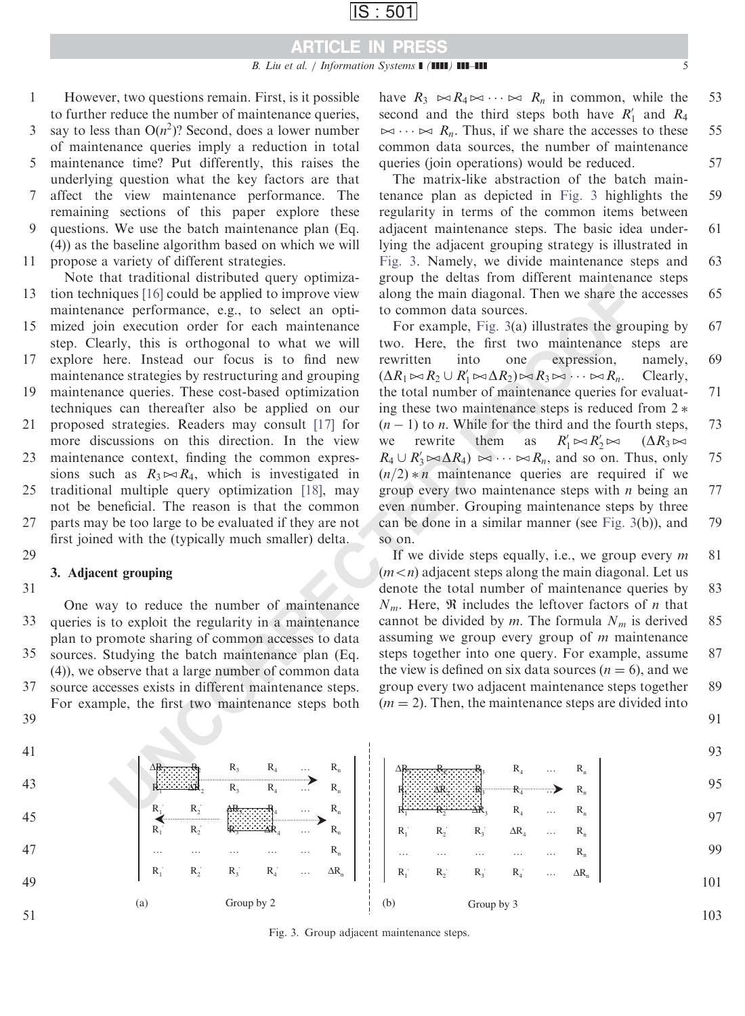### ARTICLE IN PRESS

- However, two questions remain. First, is it possible to further reduce the number of maintenance queries, 1
- say to less than  $O(n^2)$ ? Second, does a lower number of maintenance queries imply a reduction in total 3
- maintenance time? Put differently, this raises the underlying question what the key factors are that affect the view maintenance performance. The 5
- remaining sections of this paper explore these questions. We use the batch maintenance plan (Eq. 7  $\mathbf Q$
- (4)) as the baseline algorithm based on which we will propose a variety of different strategies. 11
- Note that traditional distributed query optimization techniques [16] could be applied to improve view maintenance performance, e.g., to select an opti-13
- mized join execution order for each maintenance step. Clearly, this is orthogonal to what we will 15
- explore here. Instead our focus is to find new maintenance strategies by restructuring and grouping 17
- maintenance queries. These cost-based optimization techniques can thereafter also be applied on our 19
- proposed strategies. Readers may consult [17] for more discussions on this direction. In the view 21 23
- maintenance context, finding the common expressions such as  $R_3 \rightarrow R_4$ , which is investigated in traditional multiple query optimization [18], may 25
- not be beneficial. The reason is that the common parts may be too large to be evaluated if they are not 27
- first joined with the (typically much smaller) delta. 29

### 3. Adjacent grouping

31

One way to reduce the number of maintenance queries is to exploit the regularity in a maintenance plan to promote sharing of common accesses to data sources. Studying the batch maintenance plan (Eq. (4)), we observe that a large number of common data source accesses exists in different maintenance steps. For example, the first two maintenance steps both 33 35 37

39

have  $R_3 \bowtie R_4 \bowtie \cdots \bowtie R_n$  in common, while the second and the third steps both have  $R'_1$  and  $R_4$  $t \sim \infty$  R<sub>n</sub>. Thus, if we share the accesses to these common data sources, the number of maintenance queries (join operations) would be reduced. 53 55 57

The matrix-like abstraction of the batch maintenance plan as depicted in Fig. 3 highlights the regularity in terms of the common items between adjacent maintenance steps. The basic idea underlying the adjacent grouping strategy is illustrated in Fig. 3. Namely, we divide maintenance steps and group the deltas from different maintenance steps along the main diagonal. Then we share the accesses to common data sources. 59 61 63 65

iques [16] could be applied to improve view along the main diagonal. Then we share the<br>
ce performance, e.g., to select an opti- to common data sources.<br>
The meta-time research experiment of the common data sources.<br>
The For example, Fig. 3(a) illustrates the grouping by two. Here, the first two maintenance steps are rewritten into one expression, namely,  $(\Delta R_1 \bowtie R_2 \cup R'_1 \bowtie \Delta R_2) \bowtie R_3 \bowtie \cdots \bowtie R_n$ . Clearly, the total number of maintenance queries for evaluating these two maintenance steps is reduced from  $2 *$  $(n - 1)$  to *n*. While for the third and the fourth steps, we rewrite them as  $R'_1 \bowtie R'_2 \bowtie$  $(\Delta R_3 \Join$  $R_4 \cup R'_3 \rightarrow \Delta R_4$   $\rightarrow \cdots \rightarrow R_n$ , and so on. Thus, only  $(n/2) * n$  maintenance queries are required if we group every two maintenance steps with  $n$  being an even number. Grouping maintenance steps by three can be done in a similar manner (see Fig. 3(b)), and so on. 67 69 71 73 75 77 79

If we divide steps equally, i.e., we group every  $m$  $(m < n)$  adjacent steps along the main diagonal. Let us denote the total number of maintenance queries by  $N_m$ . Here,  $\Re$  includes the leftover factors of *n* that cannot be divided by m. The formula  $N_m$  is derived assuming we group every group of m maintenance steps together into one query. For example, assume the view is defined on six data sources  $(n = 6)$ , and we group every two adjacent maintenance steps together  $(m = 2)$ . Then, the maintenance steps are divided into 81 83 85 87 89

91

41 43 45 47 49 51 93 95 97 99 101 103 (a) Group by 2  $\qquad \qquad$  (b)  $R_1$   $R_2$   $R_3$   $R_4$   $\ldots$   $\Delta R_n$ … … … … … … … R<sub>n</sub>  $R_1$   $R_2$   $R_3$   $\ldots$   $R_n$  $R_1$   $R_2$   $\overrightarrow{AB}$   $\overrightarrow{BC}$   $\overrightarrow{AB}$   $\cdots$   $R_n$  $R_1 \rightarrow \cdots \rightarrow R_2$   $R_3$   $R_4$   $\cdots$   $R_n$  $\Delta$ R<sub>1</sub>  $\ldots$  R<sub>3</sub> R<sub>4</sub> … R<sub>n</sub> Group by 3  $R_1$   $R_2$   $R_3$   $R_4$  ...  $\Delta R_r$ … … … … … … … R<sub>n</sub>  $R_1$   $R_2$   $R_3$   $\Delta R_4$  ...  $R_n$  $R_1 \longrightarrow R_2 \longrightarrow \Delta R_3$   $R_4 \dots R_n$  $R_1 \rightarrow R_2$   $\rightarrow$   $R_3$   $\rightarrow$   $R_4$   $\rightarrow$   $R_n$  $\Delta$ R<sub>1</sub>  $\ldots$  R<sub>n</sub>

Fig. 3. Group adjacent maintenance steps.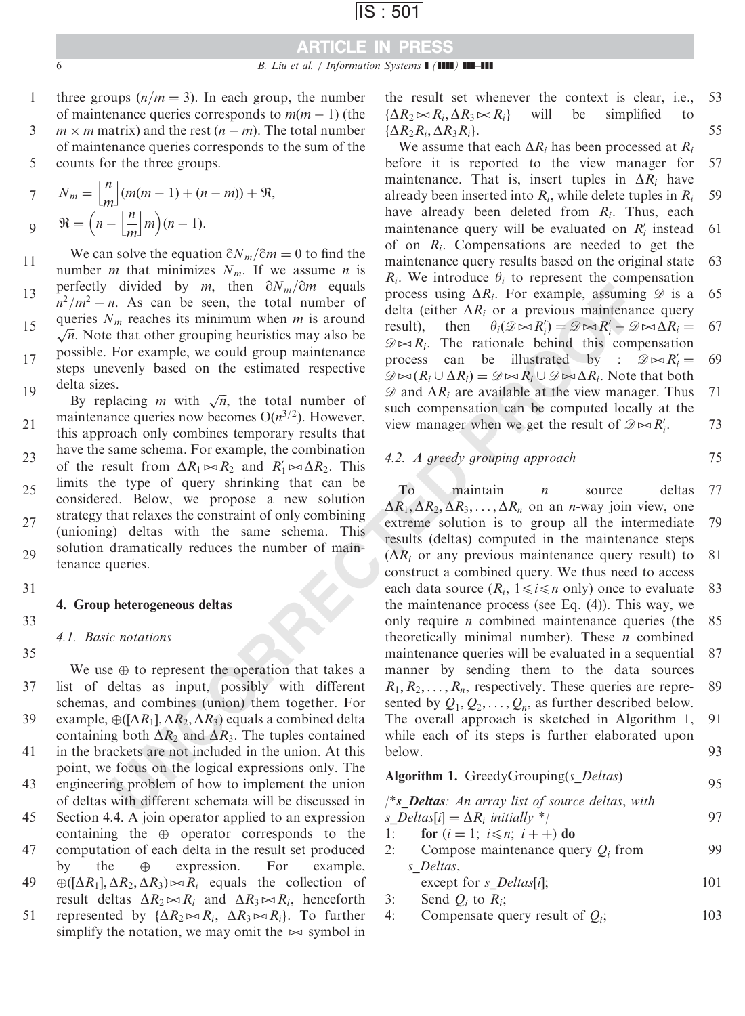## ARTICLE IN PRESS

- three groups  $(n/m=3)$ . In each group, the number of maintenance queries corresponds to  $m(m - 1)$  (the 1
- $m \times m$  matrix) and the rest  $(n m)$ . The total number of maintenance queries corresponds to the sum of the counts for the three groups. 3 5

$$
7 \qquad N_m = \left\lfloor \frac{n}{m} \right\rfloor (m(m-1) + (n-m)) + \Re,
$$
  
 
$$
9 \qquad \Re = \left(n - \left\lfloor \frac{n}{m} \right\rfloor m\right) (n-1).
$$

We can solve the equation  $\partial N_m/\partial m = 0$  to find the number *m* that minimizes  $N_m$ . If we assume *n* is perfectly divided by m, then  $\partial N_m/\partial m$  equals  $n^2/m^2 - n$ . As can be seen, the total number of queries  $N_m$  reaches its minimum when m is around  $\sqrt{n}$ . Note that other grouping heuristics may also be possible. For example, we could group maintenance steps unevenly based on the estimated respective delta sizes. 11 13 15 17 19

Equivalently in the state in the total number of the replacing *m* with  $\sqrt{n}$ , the total number of maintenance queries now becomes  $O(n^{3/2})$ . However, this approach only combines temporary results that have the same schema. For example, the combination of the result from  $\Delta R_1 \bowtie R_2$  and  $R_1' \bowtie \Delta R_2$ . This limits the type of query shrinking that can be considered. Below, we propose a new solution strategy that relaxes the constraint of only combining (unioning) deltas with the same schema. This solution dramatically reduces the number of maintenance queries. 21 23 25 27 29

31

### 4. Group heterogeneous deltas

33

### 4.1. Basic notations

We use  $\oplus$  to represent the operation that takes a list of deltas as input, possibly with different schemas, and combines (union) them together. For example,  $\oplus$  ([ $\Delta R_1$ ],  $\Delta R_2$ ,  $\Delta R_3$ ) equals a combined delta containing both  $\Delta R_2$  and  $\Delta R_3$ . The tuples contained in the brackets are not included in the union. At this point, we focus on the logical expressions only. The engineering problem of how to implement the union of deltas with different schemata will be discussed in Section 4.4. A join operator applied to an expression containing the  $\oplus$  operator corresponds to the computation of each delta in the result set produced by the  $\oplus$  expression. For example,  $\bigoplus \left(\left[\Delta R_1\right], \Delta R_2, \Delta R_3\right) \rightarrow \mathbb{R}_i$  equals the collection of result deltas  $\Delta R_2 \rightarrow R_i$  and  $\Delta R_3 \rightarrow R_i$ , henceforth represented by  $\{\Delta R_2 \bowtie R_i, \ \Delta R_3 \bowtie R_i\}$ . To further simplify the notation, we may omit the  $\approx$  symbol in 35 37 39 41 43 45 47 49 51

the result set whenever the context is clear, i.e.,  $\{\Delta R_2 \bowtie R_i, \Delta R_3 \bowtie R_i\}$  will be simplified to  $\{\Delta R_2R_i,\Delta R_3R_i\}.$ 53 55

We assume that each  $\Delta R_i$  has been processed at  $R_i$ before it is reported to the view manager for maintenance. That is, insert tuples in  $\Delta R_i$  have already been inserted into  $R_i$ , while delete tuples in  $R_i$ have already been deleted from  $R_i$ . Thus, each maintenance query will be evaluated on  $R'_i$  instead of on  $R_i$ . Compensations are needed to get the maintenance query results based on the original state  $R_i$ . We introduce  $\theta_i$  to represent the compensation process using  $\Delta R_i$ . For example, assuming  $\mathscr D$  is a delta (either  $\Delta R_i$  or a previous maintenance query result), then  $\theta_i(\mathscr{D} \bowtie R'_i) = \mathscr{D} \bowtie R'_i - \mathscr{D} \bowtie \Delta R_i =$  $\mathscr{D}\rightarrow\mathbb{R}_i$ . The rationale behind this compensation process can be illustrated by :  $\mathcal{D} \bowtie R'_i =$  $\mathscr{D} \bowtie (R_i \cup \Delta R_i) = \mathscr{D} \bowtie R_i \cup \mathscr{D} \bowtie \Delta R_i$ . Note that both  $\mathscr{D}$  and  $\Delta R_i$  are available at the view manager. Thus such compensation can be computed locally at the view manager when we get the result of  $\mathscr{D} \bowtie R'_i$ . 57 59 61 63 65 67 69 71 73

### 4.2. A greedy grouping approach

divided by  $m$ , then  $\partial N_m/\partial n$  requires<br>
and dividend by the computed delta are the process in the process in the same see, the total number of delta (either AR, or a previous maintenance it at other AR or a previous main  $\Gamma$ o maintain *n* source deltas  $\Delta R_1$ ,  $\Delta R_2$ ,  $\Delta R_3$ , ...,  $\Delta R_n$  on an *n*-way join view, one extreme solution is to group all the intermediate results (deltas) computed in the maintenance steps  $(\Delta R_i)$  or any previous maintenance query result) to construct a combined query. We thus need to access each data source  $(R_i, 1 \le i \le n$  only) once to evaluate the maintenance process (see Eq. (4)). This way, we only require n combined maintenance queries (the theoretically minimal number). These  $n$  combined maintenance queries will be evaluated in a sequential manner by sending them to the data sources  $R_1, R_2, \ldots, R_n$ , respectively. These queries are represented by  $Q_1, Q_2, \ldots, Q_n$ , as further described below. The overall approach is sketched in Algorithm 1, while each of its steps is further elaborated upon below. 77 79 81 83 85 87 89 91 93

75

95

### Algorithm 1. GreedyGrouping(s\_Deltas)

 $\frac{1}{s}$  **Deltas**: An array list of source deltas, with s\_Deltas[i] =  $\Delta R_i$  initially \*/ 1: for  $(i = 1; i \leq n; i++)$  do 97

- 2: Compose maintenance query  $Q_i$  from s Deltas, 99
	- except for  $s$  Deltas[i]; 101
- 3: Send  $Q_i$  to  $R_i$ ;<br>4: Compensate qu
- Compensate query result of  $Q_i$ ; 103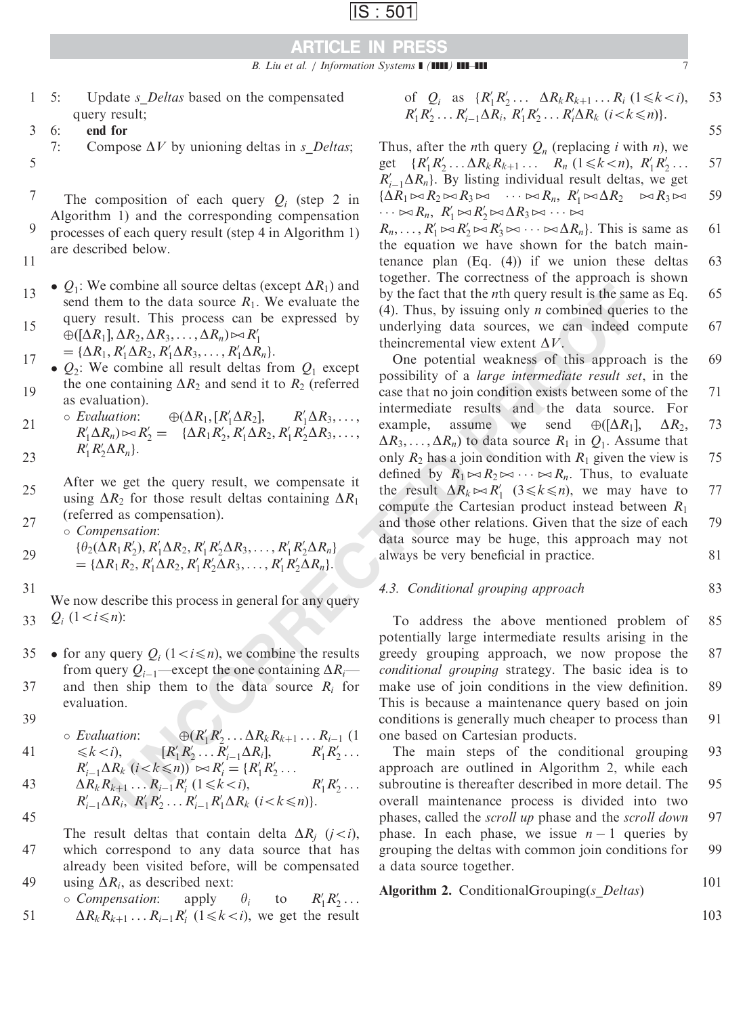B. Liu et al. / Information Systems  $\blacksquare$  ( $\blacksquare$ )  $\blacksquare$ ]  $\blacksquare$ 

- 5: Update *s\_Deltas* based on the compensated query result; 1
- 6: end for 3
- 7: Compose  $\Delta V$  by unioning deltas in *s\_Deltas*; 5
- 

The composition of each query  $Q_i$  (step 2 in Algorithm 1) and the corresponding compensation processes of each query result (step 4 in Algorithm 1) are described below. 7 9

- 11
- $\bullet$   $Q_1$ : We combine all source deltas (except  $\Delta R_1$ ) and send them to the data source  $R_1$ . We evaluate the query result. This process can be expressed by 13 15
- $\oplus ([\Delta R_1], \Delta R_2, \Delta R_3, \ldots, \Delta R_n) \bowtie R_1'$ =  $\{\Delta R_1, R'_1 \Delta R_2, R'_1 \Delta R_3, \ldots, R'_1 \Delta R_n\}.$
- $Q_2$ : We combine all result deltas from  $Q_1$  except the one containing  $\Delta R_2$  and send it to  $R_2$  (referred as evaluation). 17 19
- $\circ$  Evaluation:  $\oplus (\Delta R_1, [R_1' \Delta R_2],$  $R_1' \Delta R_3, \ldots,$  $R'_1 \Delta R_n$ )  $\bowtie R'_2 = {\Delta R_1 R'_2, R'_1 \Delta R_2, R'_1 R'_2 \Delta R_3, ...,}$  $R'_1R'_2\Delta R_n$ . 21 23
- After we get the query result, we compensate it using  $\Delta R_2$  for those result deltas containing  $\Delta R_1$ (referred as compensation). 25 27
- Compensation:  $\{\theta_2(\Delta R_1 R_2), R_1' \Delta R_2, R_1' R_2' \Delta R_3, \ldots, R_1' R_2' \Delta R_n\}$ = { $\Delta R_1 R_2$ ,  $R'_1 \Delta R_2$ ,  $R'_1 R'_2 \Delta R_3$ , ...,  $R'_1 R'_2 \Delta R_n$  }. 29
- 31

We now describe this process in general for any query  $Q_i$  (1 < *i*  $\leq n$ ): 33

- for any query  $Q_i$  (1 < *i* \le *i*), we combine the results from query  $Q_{i-1}$ —except the one containing  $\Delta R_i$  and then ship them to the data source  $R_i$  for evaluation. 35 37
- 39

41

$$
\circ \text{ Evaluation:}
$$
\n
$$
\leq k < i
$$

$$
\leq k < i), \qquad [R'_1 R'_2 \dots R'_{i-1} \Delta R_i], \qquad R'_1 R'_2 \dots
$$
\n
$$
R'_{i-1} \Delta R_k \ (i < k \leq n) \ \approx R'_i = \{R'_1 R'_2 \dots
$$

 $R'_1R'_2 \ldots \Delta R_kR_{k+1} \ldots R_{i-1}$  (1

43  
\n
$$
\Delta R_k R_{k+1} \dots R_{i-1} R'_i \ (1 \le k < i),
$$
\n
$$
R'_1 R'_2 \dots R'_{i-1} \Delta R_i, R'_1 R'_2 \dots R'_{i-1} R'_1 \Delta R_k \ (i < k \le n).
$$
\n45

The result deltas that contain delta  $\Delta R_i$  (j<i), which correspond to any data source that has already been visited before, will be compensated using  $\Delta R_i$ , as described next: 47 49

\n
$$
\text{compression: } \text{apply} \quad \theta_i \quad \text{to} \quad R'_1 R'_2 \ldots
$$
\n

\n\n $\Delta R_k R_{k+1} \ldots R_{i-1} R'_i \quad (1 \leq k < i), \text{ we get the result}$ \n

of 
$$
Q_i
$$
 as  $\{R'_1R'_2 \ldots \Delta R_k R_{k+1} \ldots R_i \ (1 \le k < i),$  53  
 $R'_1R'_2 \ldots R'_{i-1} \Delta R_i, R'_1R'_2 \ldots R'_i \Delta R_k \ (i < k \le n)\}.$ 

Thus, after the *n*th query  $Q_n$  (replacing *i* with *n*), we

get  $\{R'_1 R'_2 \dots \Delta R_k R_{k+1} \dots R_n \ (1 \le k < n), R'_1 R'_2 \dots \}$  $R'_{i-1}\Delta R_n$ . By listing individual result deltas, we get  $\{\Delta R_1 \bowtie R_2 \bowtie R_3 \bowtie \cdots \bowtie R_n, R'_1 \bowtie \Delta R_2 \bowtie R_3 \bowtie$  $\cdots \bowtie R_n$ ,  $R'_1 \bowtie R'_2 \bowtie \Delta R_3 \bowtie \cdots \bowtie$ 57 59

 $R_n, \ldots, R_1' \bowtie R_2' \bowtie R_3' \bowtie \cdots \bowtie \Delta R_n$ . This is same as the equation we have shown for the batch maintenance plan (Eq. (4)) if we union these deltas together. The correctness of the approach is shown by the fact that the nth query result is the same as Eq. (4). Thus, by issuing only *n* combined queries to the underlying data sources, we can indeed compute theincremental view extent  $\Delta V$ . 61 63 65 67

combine all source delined as the fact that the *n*th query result is the same moto the data source  $R_1$ , We we valtate the by the fact that the *n*th query result is the sensult. This process can be expressed by anomicl One potential weakness of this approach is the possibility of a large intermediate result set, in the case that no join condition exists between some of the intermediate results and the data source. For example, assume we send  $\oplus ([\Delta R_1], \Delta R_2,$  $\Delta R_3, \ldots, \Delta R_n$  to data source  $R_1$  in  $Q_1$ . Assume that only  $R_2$  has a join condition with  $R_1$  given the view is defined by  $R_1 \Join R_2 \Join \cdots \Join R_n$ . Thus, to evaluate the result  $\Delta R_k \bowtie R'_1$  (3  $\le k \le n$ ), we may have to compute the Cartesian product instead between  $R_1$ and those other relations. Given that the size of each data source may be huge, this approach may not always be very beneficial in practice. 69 71 73 75 77 79 81

### 4.3. Conditional grouping approach

To address the above mentioned problem of potentially large intermediate results arising in the greedy grouping approach, we now propose the conditional grouping strategy. The basic idea is to make use of join conditions in the view definition. This is because a maintenance query based on join conditions is generally much cheaper to process than one based on Cartesian products. 85 87 89 91

The main steps of the conditional grouping approach are outlined in Algorithm 2, while each subroutine is thereafter described in more detail. The overall maintenance process is divided into two phases, called the scroll up phase and the scroll down phase. In each phase, we issue  $n - 1$  queries by grouping the deltas with common join conditions for a data source together. 93 95 97 99

Algorithm 2. Conditional Grouping( $s$  Deltas)

103

101

83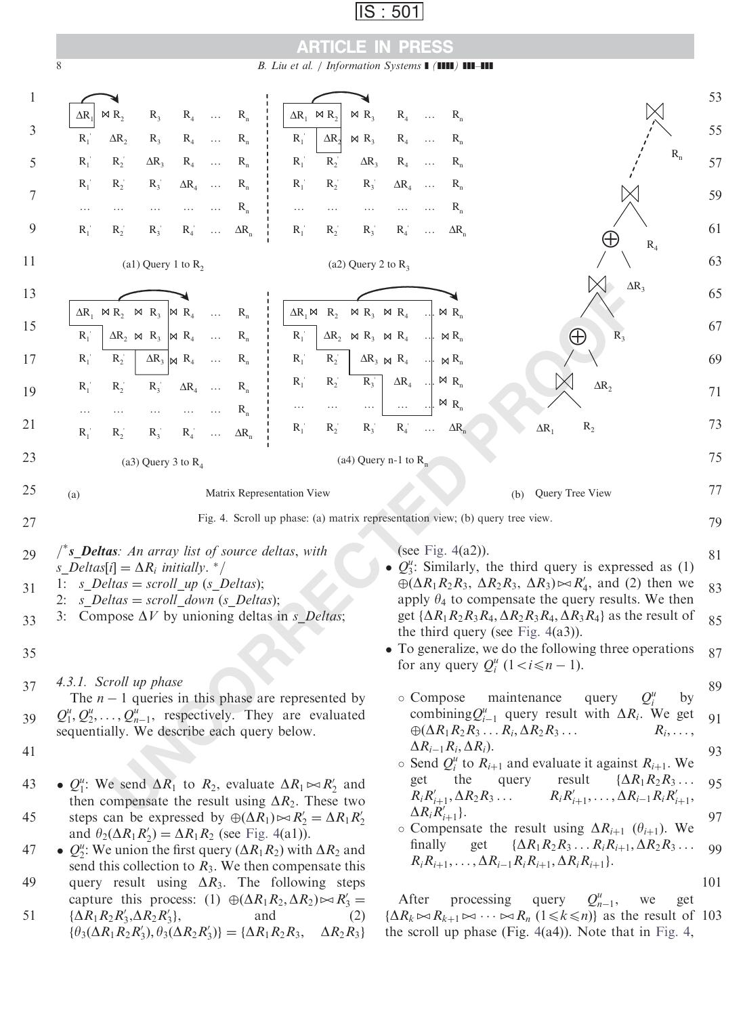## ARTICLE IN PRESS

8 B. Liu et al. / Information Systems  $\blacksquare$  ( $\blacksquare$ )  $\blacksquare$ 

<span id="page-7-0"></span>

 $\{\Delta R_1 R_2 R_3', \Delta R_2 R_3'\}$ 

51

 $'_{3}$ , and (2)

 $\{\theta_3(\Delta R_1 R_2 R_3'), \theta_3(\Delta R_2 R_3')\} = \{\Delta R_1 R_2 R_3, \quad \Delta R_2 R_3\}$ 

After processing query  $Q_{n-1}^u$ , we get  $\{\Delta R_k \bowtie R_{k+1} \bowtie \cdots \bowtie R_n \ (1 \leq k \leq n)\}\$ as the result of 103 the scroll up phase (Fig.  $4(a4)$ ). Note that in Fig. 4,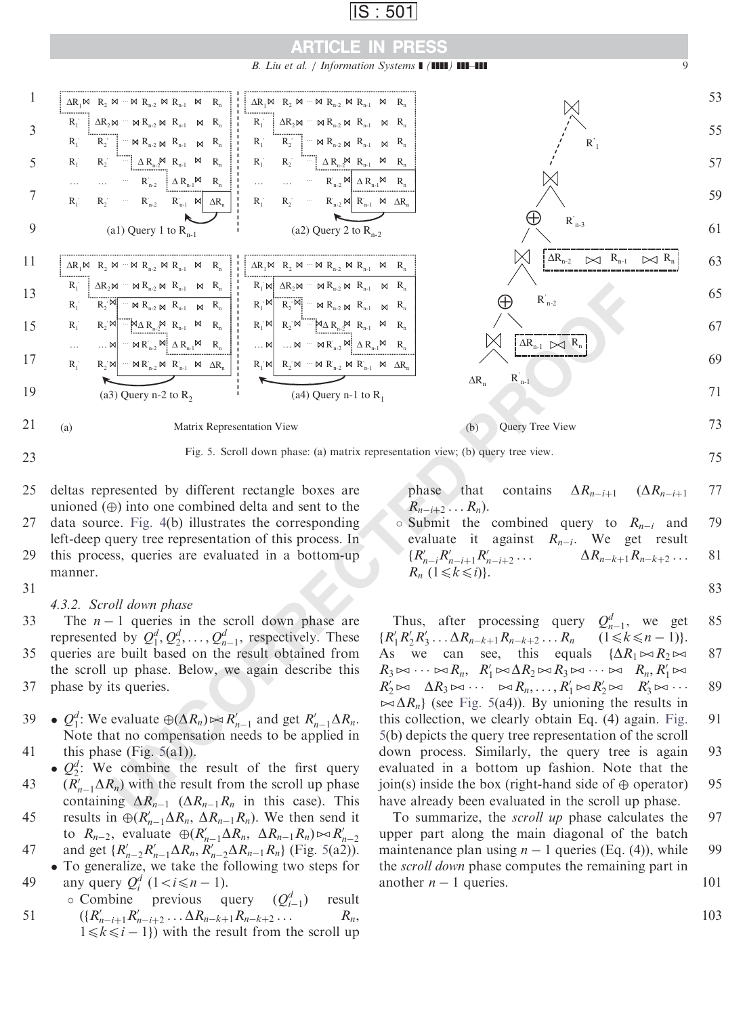

B. Liu et al. / Information Systems  $\blacksquare$  ( $\blacksquare$ )  $\blacksquare$ ]  $\blacksquare$ 



deltas represented by different rectangle boxes are unioned  $(\oplus)$  into one combined delta and sent to the data source. Fig. 4(b) illustrates the corresponding left-deep query tree representation of this process. In this process, queries are evaluated in a bottom-up manner. 25 27 29

### 31

4.3.2. Scroll down phase

- The  $n 1$  queries in the scroll down phase are represented by  $Q_1^d, Q_2^d, \ldots, Q_{n-1}^d$ , respectively. These queries are built based on the result obtained from the scroll up phase. Below, we again describe this phase by its queries. 33 35 37
- $Q_1^d$ : We evaluate  $\oplus (\Delta R_n) \bowtie R_{n-1}'$  and get  $R_{n-1}' \Delta R_n$ . Note that no compensation needs to be applied in this phase (Fig.  $5(a1)$ ). 39 41
- $\bullet$   $Q_2^d$ : We combine the result of the first query  $(\overline{R}_{n-1}'\Delta R_n)$  with the result from the scroll up phase containing  $\Delta R_{n-1}$  ( $\Delta R_{n-1}R_n$  in this case). This results in  $\oplus (R'_{n-1}\Delta R_n, \Delta R_{n-1}R_n)$ . We then send it 43 45
- to  $R_{n-2}$ , evaluate  $\oplus (R'_{n-1}\Delta R_n, \ \Delta R_{n-1}R_n) \rightarrow R'_{n-2}$ and get  $\{R'_{n-2}R'_{n-1}\Delta R_n, R'_{n-2}\Delta R_{n-1}R_n\}$  (Fig. 5(a2)). 47
- To generalize, we take the following two steps for any query  $Q_i^d$   $(1 < i \leq n - 1)$ . 49

$$
\begin{array}{ll}\n\text{c Combine} & \text{previous query} & (Q_{i-1}^d) & \text{result} \\
\text{51} & (\lbrace R'_{n-i+1}R'_{n-i+2} \dots \Delta R_{n-k+1}R_{n-k+2} \dots \quad R_n, \\
1 \le k \le i-1 \rbrace \text{ with the result from the scroll up}\n\end{array}
$$

phase that contains  $\Delta R_{n-i+1}$   $(\Delta R_{n-i+1})$  $R_{n-i+2} \ldots R_n$ ). 77

 $\circ$  Submit the combined query to  $R_{n-i}$  and evaluate it against  $R_{n-i}$ . We get result  ${R'_{n-i}R'_{n-i+1}R'_n}$  $\Delta R_{n-k+1}R_{n-k+2}\ldots$  $R_n$   $(1 \leq k \leq i)$ . 79 81

83

Thus, after processing query  $Q_{n-1}^d$ , we get  $\{R'_1R'_2R'_3\ldots\Delta R_{n-k+1}R_{n-k+2}\ldots R_n \quad (1\leq k\leq n-1)\}.$ As we can see, this equals  $\{\Delta R_1 \bowtie R_2 \bowtie$  $R_3 \bowtie \cdots \bowtie R_n$ ,  $R'_1 \bowtie \Delta R_2 \bowtie R_3 \bowtie \cdots \bowtie R_n$ ,  $R'_1 \bowtie$  $R'_2 \bowtie \ \Delta R_3 \bowtie \cdots \bowtie R_n, \ldots, R'_1 \bowtie R'_2 \bowtie \ R'_3 \bowtie \cdots$  $\bowtie \Delta R_n$  (see Fig. 5(a4)). By unioning the results in this collection, we clearly obtain Eq. (4) again. Fig. 5(b) depicts the query tree representation of the scroll down process. Similarly, the query tree is again evaluated in a bottom up fashion. Note that the join(s) inside the box (right-hand side of  $\oplus$  operator) have already been evaluated in the scroll up phase. 85 87 89 91 93 95

To summarize, the scroll up phase calculates the upper part along the main diagonal of the batch maintenance plan using  $n - 1$  queries (Eq. (4)), while the scroll down phase computes the remaining part in another  $n - 1$  queries. 97 99 101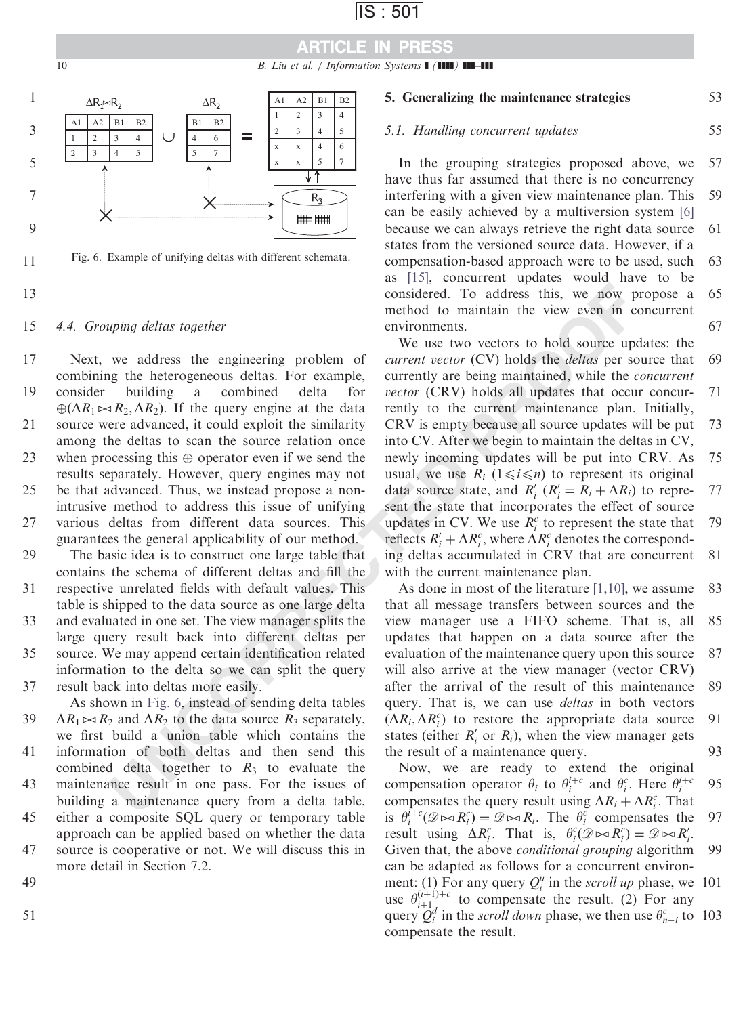# ARTICLE IN PRESS

10 B. Liu et al. / Information  $S$ ystems  $\blacksquare$  ( $\blacksquare$ )  $\blacksquare$ 



Fig. 6. Example of unifying deltas with different schemata.

13

11

#### 4.4. Grouping deltas together 15

Next, we address the engineering problem of combining the heterogeneous deltas. For example, consider building a combined delta for  $\bigoplus (\Delta R_1 \bowtie R_2, \Delta R_2)$ . If the query engine at the data source were advanced, it could exploit the similarity among the deltas to scan the source relation once when processing this  $\oplus$  operator even if we send the results separately. However, query engines may not be that advanced. Thus, we instead propose a nonintrusive method to address this issue of unifying various deltas from different data sources. This 17 19 21 23 25 27

guarantees the general applicability of our method. The basic idea is to construct one large table that contains the schema of different deltas and fill the respective unrelated fields with default values. This 29 31

table is shipped to the data source as one large delta and evaluated in one set. The view manager splits the large query result back into different deltas per source. We may append certain identification related information to the delta so we can split the query result back into deltas more easily. 33 35 37

As shown in Fig. 6, instead of sending delta tables  $\Delta R_1 \bowtie R_2$  and  $\Delta R_2$  to the data source  $R_3$  separately, we first build a union table which contains the information of both deltas and then send this combined delta together to  $R_3$  to evaluate the maintenance result in one pass. For the issues of building a maintenance query from a delta table, either a composite SQL query or temporary table approach can be applied based on whether the data source is cooperative or not. We will discuss this in 39 41 43 45 47

more detail in Section 7.2.

49

51

#### 5. Generalizing the maintenance strategies 53

55

### 5.1. Handling concurrent updates

In the grouping strategies proposed above, we have thus far assumed that there is no concurrency interfering with a given view maintenance plan. This can be easily achieved by a multiversion system [\[6\]](#page-18-0) because we can always retrieve the right data source states from the versioned source data. However, if a compensation-based approach were to be used, such as [\[15\]](#page-18-0), concurrent updates would have to be considered. To address this, we now propose a method to maintain the view even in concurrent environments. 57 59 61 63 65 67

*uping deltas together* considered. To address this, we now p<br>moind deltas together multion to minitain the view weren in controlled to minitain the view weren in communitations. For example, currently are two vectors to We use two vectors to hold source updates: the current vector (CV) holds the deltas per source that currently are being maintained, while the concurrent vector (CRV) holds all updates that occur concurrently to the current maintenance plan. Initially, CRV is empty because all source updates will be put into CV. After we begin to maintain the deltas in CV, newly incoming updates will be put into CRV. As usual, we use  $R_i$  ( $1 \le i \le n$ ) to represent its original data source state, and  $R'_i$  ( $R'_i = R_i + \Delta R_i$ ) to represent the state that incorporates the effect of source updates in CV. We use  $R_i^c$  to represent the state that reflects  $R'_i + \Delta R_i^c$ , where  $\Delta R_i^c$  denotes the corresponding deltas accumulated in CRV that are concurrent with the current maintenance plan. 69 71 73 75 77 79 81

As done in most of the literature [1,10], we assume that all message transfers between sources and the view manager use a FIFO scheme. That is, all updates that happen on a data source after the evaluation of the maintenance query upon this source will also arrive at the view manager (vector CRV) after the arrival of the result of this maintenance query. That is, we can use *deltas* in both vectors  $(\Delta R_i, \Delta R_i^c)$  to restore the appropriate data source states (either  $R_i'$  or  $R_i$ ), when the view manager gets the result of a maintenance query. 83 85 87 89 91 93

Now, we are ready to extend the original compensation operator  $\theta_i$  to  $\theta_i^{i+c}$  and  $\theta_i^c$ . Here  $\theta_i^{i+c}$ compensates the query result using  $\Delta R_i + \Delta R_i^c$ . That is  $\theta_i^{i+c}(\mathcal{D} \bowtie R_i^c) = \mathcal{D} \bowtie R_i$ . The  $\theta_i^c$  compensates the result using  $\Delta R_i^c$ . That is,  $\theta_i^c(\mathcal{D} \bowtie R_i^c) = \mathcal{D} \bowtie R_i^c$ . Given that, the above conditional grouping algorithm can be adapted as follows for a concurrent environment: (1) For any query  $Q_i^u$  in the *scroll up* phase, we 101 use  $\theta_{i+1}^{(i+1)+c}$  to compensate the result. (2) For any query  $Q_i^d$  in the *scroll down* phase, we then use  $\theta_{n-i}^c$  to 103 compensate the result. 95 97 99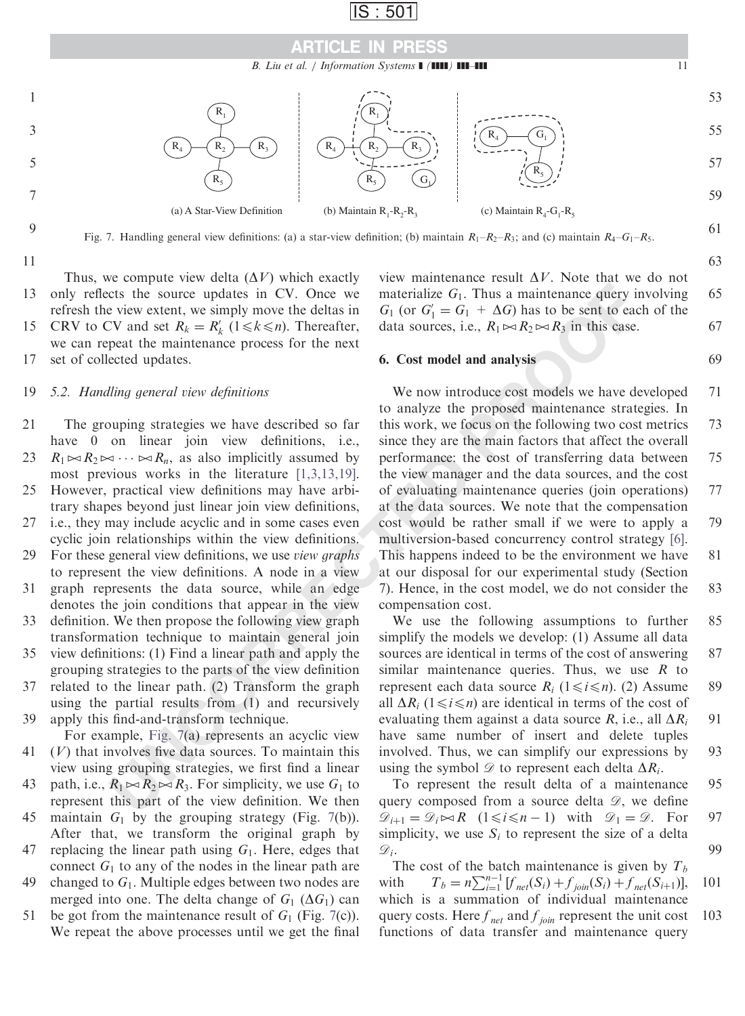

B. Liu et al. / Information Systems  $\blacksquare$  ( $\blacksquare$ )  $\blacksquare$ ]  $\blacksquare$ 



Fig. 7. Handling general view definitions: (a) a star-view definition; (b) maintain  $R_1-R_2-R_3$ ; and (c) maintain  $R_4-G_1-R_5$ .

11

Thus, we compute view delta  $(\Delta V)$  which exactly only reflects the source updates in CV. Once we refresh the view extent, we simply move the deltas in CRV to CV and set  $R_k = R'_k$  ( $1 \le k \le n$ ). Thereafter, 13 15

we can repeat the maintenance process for the next set of collected updates. 17

#### 5.2. Handling general view definitions 19

The grouping strategies we have described so far have 0 on linear join view definitions, i.e., 21

 $R_1 \bowtie R_2 \bowtie \cdots \bowtie R_n$ , as also implicitly assumed by most previous works in the literature [1,3,13,19]. 23

- However, practical view definitions may have arbitrary shapes beyond just linear join view definitions, 25
- i.e., they may include acyclic and in some cases even cyclic join relationships within the view definitions. 27
- For these general view definitions, we use view graphs to represent the view definitions. A node in a view 29
- graph represents the data source, while an edge denotes the join conditions that appear in the view 31
- definition. We then propose the following view graph transformation technique to maintain general join 33
- view definitions: (1) Find a linear path and apply the grouping strategies to the parts of the view definition 35
- related to the linear path. (2) Transform the graph using the partial results from (1) and recursively apply this find-and-transform technique. 37 39
- For example, Fig. 7(a) represents an acyclic view  $(V)$  that involves five data sources. To maintain this 41
- view using grouping strategies, we first find a linear path, i.e.,  $R_1 \bowtie R_2 \bowtie R_3$ . For simplicity, we use  $G_1$  to 43
- represent this part of the view definition. We then maintain  $G_1$  by the grouping strategy (Fig. 7(b)). 45
- After that, we transform the original graph by replacing the linear path using  $G_1$ . Here, edges that 47
- connect  $G_1$  to any of the nodes in the linear path are changed to  $G_1$ . Multiple edges between two nodes are merged into one. The delta change of  $G_1$  ( $\Delta G_1$ ) can 49
- be got from the maintenance result of  $G_1$  (Fig. 7(c)). We repeat the above processes until we get the final 51

view maintenance result  $\Delta V$ . Note that we do not materialize  $G_1$ . Thus a maintenance query involving  $G_1$  (or  $G_1' = G_1 + \Delta G$ ) has to be sent to each of the data sources, i.e.,  $R_1 \Join R_2 \Join R_3$  in this case. 65 67

#### 6. Cost model and analysis

cts the source updates in CV. Once we materialize  $G_1$ . Thus a maintenance query in view with a the simply move the deltas in  $G_1$  (or  $G'_1 = G_1 + \Delta G_1$  has to be sent to easily the deltas in  $G_1$  (or  $G'_1 = G_1 + \Delta G_1$  has We now introduce cost models we have developed to analyze the proposed maintenance strategies. In this work, we focus on the following two cost metrics since they are the main factors that affect the overall performance: the cost of transferring data between the view manager and the data sources, and the cost of evaluating maintenance queries (join operations) at the data sources. We note that the compensation cost would be rather small if we were to apply a multiversion-based concurrency control strategy [\[6\]](#page-18-0). This happens indeed to be the environment we have at our disposal for our experimental study (Section 7). Hence, in the cost model, we do not consider the compensation cost. 71 73 75 77 79 81 83

We use the following assumptions to further simplify the models we develop: (1) Assume all data sources are identical in terms of the cost of answering similar maintenance queries. Thus, we use  $R$  to represent each data source  $R_i$  ( $1 \le i \le n$ ). (2) Assume all  $\Delta R_i$  (1 $\le i \le n$ ) are identical in terms of the cost of evaluating them against a data source R, i.e., all  $\Delta R_i$ have same number of insert and delete tuples involved. Thus, we can simplify our expressions by using the symbol  $\mathscr{D}$  to represent each delta  $\Delta R_i$ . 85 87 89 91 93

To represent the result delta of a maintenance query composed from a source delta  $\mathscr{D}$ , we define  $\mathcal{D}_{i+1} = \mathcal{D}_i \bowtie R$   $(1 \leq i \leq n-1)$  with  $\mathcal{D}_1 = \mathcal{D}$ . For simplicity, we use  $S_i$  to represent the size of a delta  $\mathscr{D}_i$ . 95 97 99

The cost of the batch maintenance is given by  $T_b$ with  $T_b = n \sum_{i=1}^{n-1} [f_{net}(S_i) + f_{join}(S_i) + f_{net}(S_{i+1})],$ which is a summation of individual maintenance query costs. Here  $f_{net}$  and  $f_{join}$  represent the unit cost functions of data transfer and maintenance query 101 103

63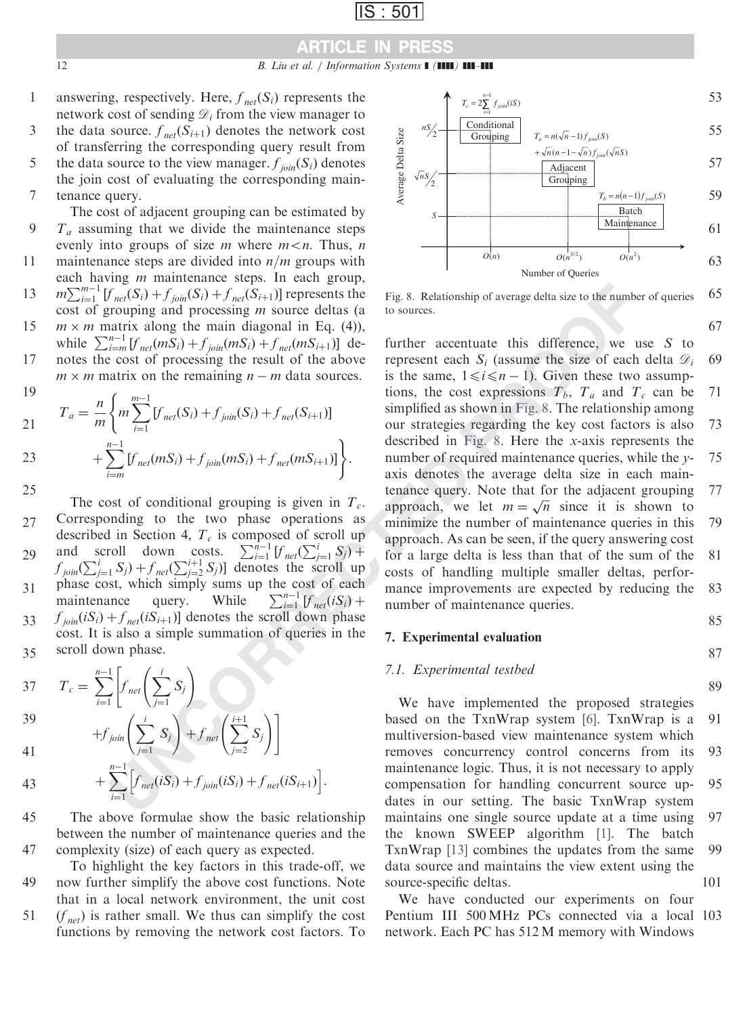### ARTICLE IN PRESS

12 B. Liu et al. / Information Systems  $\blacksquare$  ( $\blacksquare$ )  $\blacksquare$ 

answering, respectively. Here,  $f_{net}(S_i)$  represents the network cost of sending  $\mathcal{D}_i$  from the view manager to the data source.  $f_{net}(S_{i+1})$  denotes the network cost of transferring the corresponding query result from the data source to the view manager.  $f_{ioin}(S_i)$  denotes the join cost of evaluating the corresponding main-1 3 5

tenance query. 7

The cost of adjacent grouping can be estimated by  $T_a$  assuming that we divide the maintenance steps evenly into groups of size m where  $m < n$ . Thus, n maintenance steps are divided into  $n/m$  groups with each having  $m$  maintenance steps. In each group,  $m\sum_{i=1}^{m-1} [f_{net}(S_i) + f_{join}(S_i) + f_{net}(S_{i+1})]$  represents the cost of grouping and processing m source deltas (a  $m \times m$  matrix along the main diagonal in Eq. (4)), while  $\sum_{i=m}^{n-1} [f_{net}(mS_i) + f_{join}(mS_i) + f_{net}(mS_{i+1})]$  denotes the cost of processing the result of the above 9 11 13 15 17

 $m \times m$  matrix on the remaining  $n - m$  data sources. 10

19  
\n
$$
T_a = \frac{n}{m} \left\{ m \sum_{i=1}^{m-1} [f_{net}(S_i) + f_{join}(S_i) + f_{net}(S_{i+1})] + \sum_{i=m}^{n-1} [f_{net}(mS_i) + f_{join}(mS_i) + f_{net}(mS_{i+1})] \right\}.
$$
\n25

The cost of conditional grouping is given in  $T_c$ . Corresponding to the two phase operations as described in Section 4,  $T_c$  is composed of scroll up and scroll down costs.  $\sum_{i=1}^{n-1} [f_{net}(\sum_{j=1}^{i} S_j) +$  $f_{join}(\sum_{j=1}^{i} S_j) + f_{net}(\sum_{j=2}^{i+1} S_j)$  denotes the scroll up phase cost, which simply sums up the cost of each maintenance query. While  $\sum_{i=1}^{n-1} [f_{net}(iS_i) +$  $\sum_{i=1}^{n-1} [f_{net}(iS_i) +$  $f_{\text{ion}}(iS_i) + f_{\text{net}}(iS_{i+1})$  denotes the scroll down phase cost. It is also a simple summation of queries in the scroll down phase.  $27$ 29 31 33 35

37 
$$
T_c = \sum_{i=1}^{n-1} \left[ f_{net} \left( \sum_{j=1}^{i} S_j \right) \right]
$$
  
39 
$$
+ f_{join} \left( \sum_{j=1}^{i} S_j \right) + f_{net} \left( \sum_{j=1}^{i+1} S_j \right) \right]
$$

$$
+f_{join}\left(\sum_{j=1}^{l} S_j\right)+
$$
41

43 + 
$$
\sum_{i=1}^{n-1} \Big[ f_{\text{net}}(iS_i) + f_{\text{join}}(iS_i) + f_{\text{net}}(iS_{i+1}) \Big].
$$

The above formulae show the basic relationship between the number of maintenance queries and the complexity (size) of each query as expected. 45 47

 $j=2$  $S_j$ 

To highlight the key factors in this trade-off, we now further simplify the above cost functions. Note that in a local network environment, the unit cost  $(f_{net})$  is rather small. We thus can simplify the cost functions by removing the network cost factors. To 49 51



Number of Queries  $O(n)$   $O(n^{3/2})$ 

 $O(n^2)$ 

63

67

85

89

65 Fig. 8. Relationship of average delta size to the number of queries to sources.

 $\int_{n\pi/6}^{n\pi/6} S_1 + f_{j\omega n} (S_2) + f_{j\omega n} (S_{i+1})$  represents the Fig. 8. Relationship of average delta size to the number attributed in the stations and processing *m* sources. (assume the size of each is difference, we u further accentuate this difference, we use  $S$  to represent each  $S_i$  (assume the size of each delta  $\mathcal{D}_i$ is the same,  $1 \le i \le n - 1$ ). Given these two assumptions, the cost expressions  $T_b$ ,  $T_a$  and  $T_c$  can be simplified as shown in Fig. 8. The relationship among our strategies regarding the key cost factors is also described in Fig. 8. Here the x-axis represents the number of required maintenance queries, while the yaxis denotes the average delta size in each maintenance query. Note that for the adjacent grouping denance query. Note that for the adjacent grouping<br>approach, we let  $m = \sqrt{n}$  since it is shown to minimize the number of maintenance queries in this approach. As can be seen, if the query answering cost for a large delta is less than that of the sum of the costs of handling multiple smaller deltas, performance improvements are expected by reducing the number of maintenance queries. 69 71 73 75 77 79 81 83

### 7. Experimental evaluation

### 87

### 7.1. Experimental testbed

We have implemented the proposed strategies based on the TxnWrap system [6]. TxnWrap is a multiversion-based view maintenance system which removes concurrency control concerns from its maintenance logic. Thus, it is not necessary to apply compensation for handling concurrent source updates in our setting. The basic TxnWrap system maintains one single source update at a time using the known SWEEP algorithm [\[1\].](#page-18-0) The batch TxnWrap [\[13\]](#page-18-0) combines the updates from the same data source and maintains the view extent using the source-specific deltas. 91 93 95 97 99 101

We have conducted our experiments on four Pentium III 500 MHz PCs connected via a local 103 network. Each PC has 512 M memory with Windows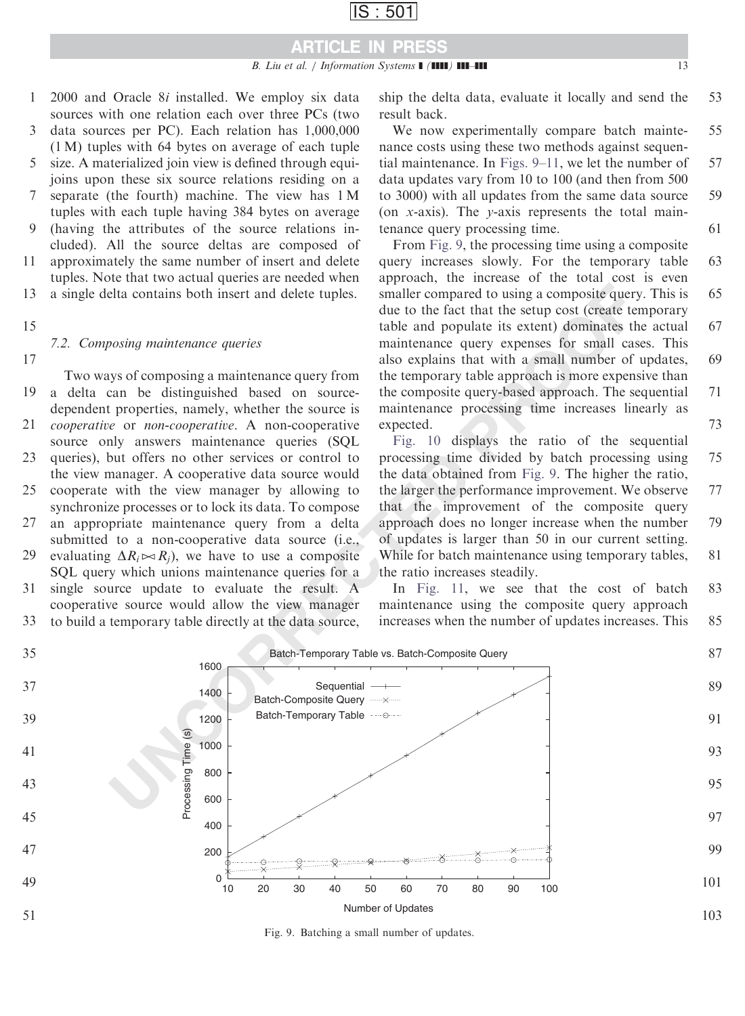- 2000 and Oracle 8i installed. We employ six data sources with one relation each over three PCs (two 1
- data sources per PC). Each relation has 1,000,000 (1 M) tuples with 64 bytes on average of each tuple 3
- size. A materialized join view is defined through equijoins upon these six source relations residing on a separate (the fourth) machine. The view has 1 M 5 7
- tuples with each tuple having 384 bytes on average (having the attributes of the source relations in-**9**
- cluded). All the source deltas are composed of approximately the same number of insert and delete 11
- tuples. Note that two actual queries are needed when
- a single delta contains both insert and delete tuples. 13
- 15

# 7.2. Composing maintenance queries

17

Two ways of composing a maintenance query from a delta can be distinguished based on sourcedependent properties, namely, whether the source is cooperative or non-cooperative. A non-cooperative source only answers maintenance queries (SQL) 19 21

- queries), but offers no other services or control to the view manager. A cooperative data source would cooperate with the view manager by allowing to 23 25
- synchronize processes or to lock its data. To compose an appropriate maintenance query from a delta submitted to a non-cooperative data source (i.e., 27
- evaluating  $\Delta R_i \bowtie R_j$ , we have to use a composite SQL query which unions maintenance queries for a 29
- single source update to evaluate the result. A cooperative source would allow the view manager 31 33
- to build a temporary table directly at the data source,

ship the delta data, evaluate it locally and send the result back. 53

We now experimentally compare batch maintenance costs using these two methods against sequential maintenance. In Figs. 9[–11](#page-13-0), we let the number of data updates vary from 10 to 100 (and then from 500 to 3000) with all updates from the same data source (on x-axis). The  $\nu$ -axis represents the total maintenance query processing time. 55 57 59 61

From Fig. 9, the processing time using a composite query increases slowly. For the temporary table approach, the increase of the total cost is even smaller compared to using a composite query. This is due to the fact that the setup cost (create temporary table and populate its extent) dominates the actual maintenance query expenses for small cases. This also explains that with a small number of updates, the temporary table approach is more expensive than the composite query-based approach. The sequential maintenance processing time increases linearly as expected. 63 65 67 69 71 73

Fig. 10 displays the ratio of the sequential processing time divided by batch processing using the data obtained from Fig. 9. The higher the ratio, the larger the performance improvement. We observe that the improvement of the composite query approach does no longer increase when the number of updates is larger than 50 in our current setting. While for batch maintenance using temporary tables, the ratio increases steadily. 75 77 79 81

In Fig. 11, we see that the cost of batch maintenance using the composite query approach increases when the number of updates increases. This 83 85



Fig. 9. Batching a small number of updates.

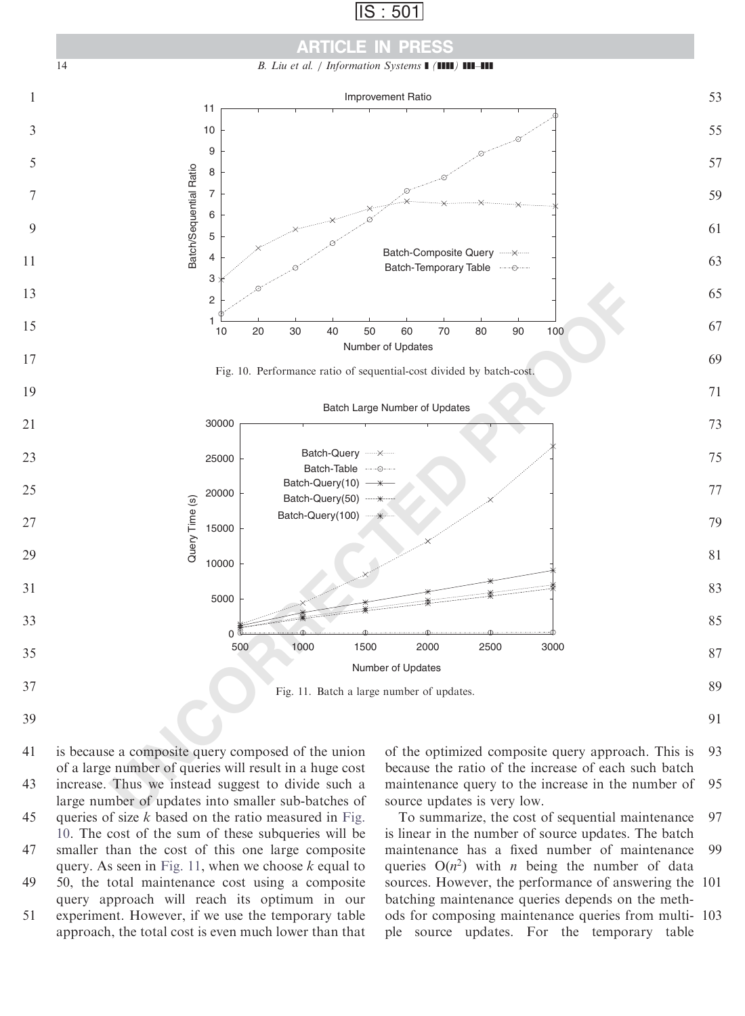<span id="page-13-0"></span>



is because a composite query composed of the union of a large number of queries will result in a huge cost increase. Thus we instead suggest to divide such a large number of updates into smaller sub-batches of queries of size  $k$  based on the ratio measured in Fig. 10. The cost of the sum of these subqueries will be smaller than the cost of this one large composite query. As seen in Fig. 11, when we choose  $k$  equal to 

50, the total maintenance cost using a composite query approach will reach its optimum in our experiment. However, if we use the temporary table approach, the total cost is even much lower than that 

of the optimized composite query approach. This is because the ratio of the increase of each such batch maintenance query to the increase in the number of source updates is very low. 

To summarize, the cost of sequential maintenance is linear in the number of source updates. The batch maintenance has a fixed number of maintenance queries  $O(n^2)$  with *n* being the number of data sources. However, the performance of answering the 101 batching maintenance queries depends on the methods for composing maintenance queries from multi-103 ple source updates. For the temporary table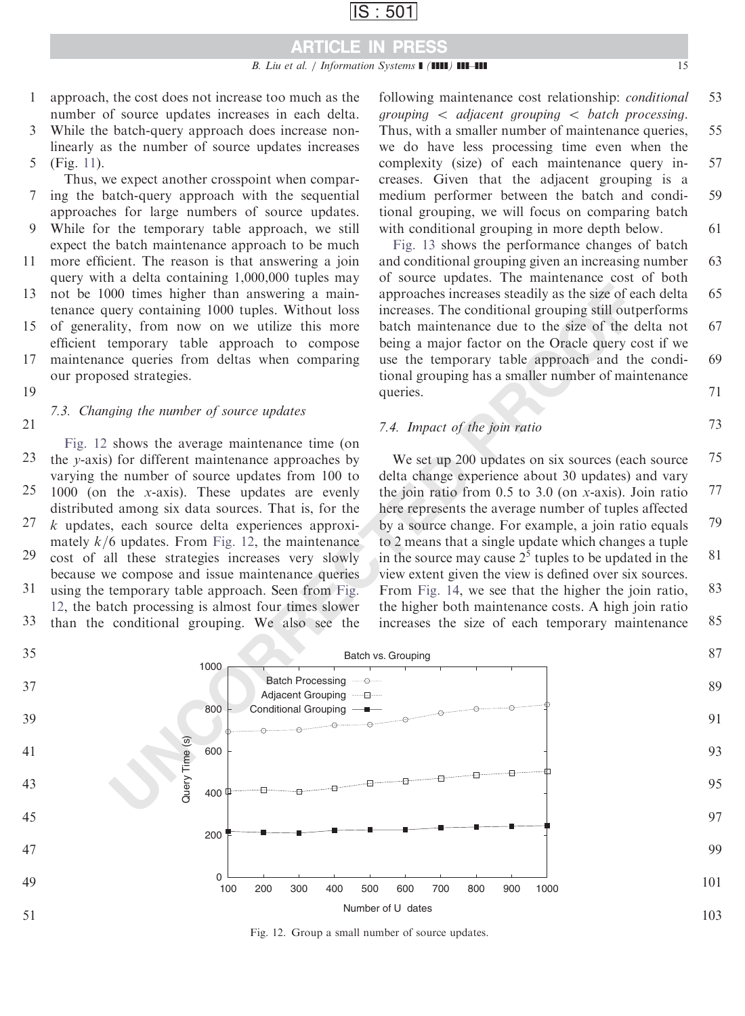## ARTICLE IN PRESS

### B. Liu et al. / Information Systems  $\blacksquare$  ( $\blacksquare\blacksquare$ )  $\blacksquare\blacksquare\blacksquare\blacksquare$

- approach, the cost does not increase too much as the number of source updates increases in each delta. 1
- While the batch-query approach does increase nonlinearly as the number of source updates increases (Fig. [11\)](#page-13-0). 3 5
- Thus, we expect another crosspoint when comparing the batch-query approach with the sequential 7
- approaches for large numbers of source updates. While for the temporary table approach, we still expect the batch maintenance approach to be much **9**
- more efficient. The reason is that answering a join query with a delta containing 1,000,000 tuples may 11
- not be 1000 times higher than answering a maintenance query containing 1000 tuples. Without loss of generality, from now on we utilize this more 13 15
- efficient temporary table approach to compose maintenance queries from deltas when comparing our proposed strategies. 17
- 19

# 7.3. Changing the number of source updates

Fig. 12 shows the average maintenance time (on the y-axis) for different maintenance approaches by varying the number of source updates from 100 to 1000 (on the x-axis). These updates are evenly distributed among six data sources. That is, for the k updates, each source delta experiences approximately  $k/6$  updates. From Fig. 12, the maintenance 21 23 25 27

- cost of all these strategies increases very slowly because we compose and issue maintenance queries 29 31
- using the temporary table approach. Seen from Fig. 12, the batch processing is almost four times slower than the conditional grouping. We also see the 33

following maintenance cost relationship: conditional grouping  $\langle$  adjacent grouping  $\langle$  batch processing. Thus, with a smaller number of maintenance queries, we do have less processing time even when the complexity (size) of each maintenance query increases. Given that the adjacent grouping is a medium performer between the batch and conditional grouping, we will focus on comparing batch with conditional grouping in more depth below. 53 55 57 59 61

[Fig. 13](#page-15-0) shows the performance changes of batch and conditional grouping given an increasing number of source updates. The maintenance cost of both approaches increases steadily as the size of each delta increases. The conditional grouping still outperforms batch maintenance due to the size of the delta not being a major factor on the Oracle query cost if we use the temporary table approach and the conditional grouping has a smaller number of maintenance queries. 63 65 67 69 71

### 7.4. Impact of the join ratio

We set up 200 updates on six sources (each source delta change experience about 30 updates) and vary the join ratio from  $0.5$  to  $3.0$  (on x-axis). Join ratio here represents the average number of tuples affected by a source change. For example, a join ratio equals to 2 means that a single update which changes a tuple in the source may cause  $2<sup>5</sup>$  tuples to be updated in the view extent given the view is defined over six sources. From Fig. 14, we see that the higher the join ratio, the higher both maintenance costs. A high join ratio increases the size of each temporary maintenance 75 77 79 81 83 85



Fig. 12. Group a small number of source updates.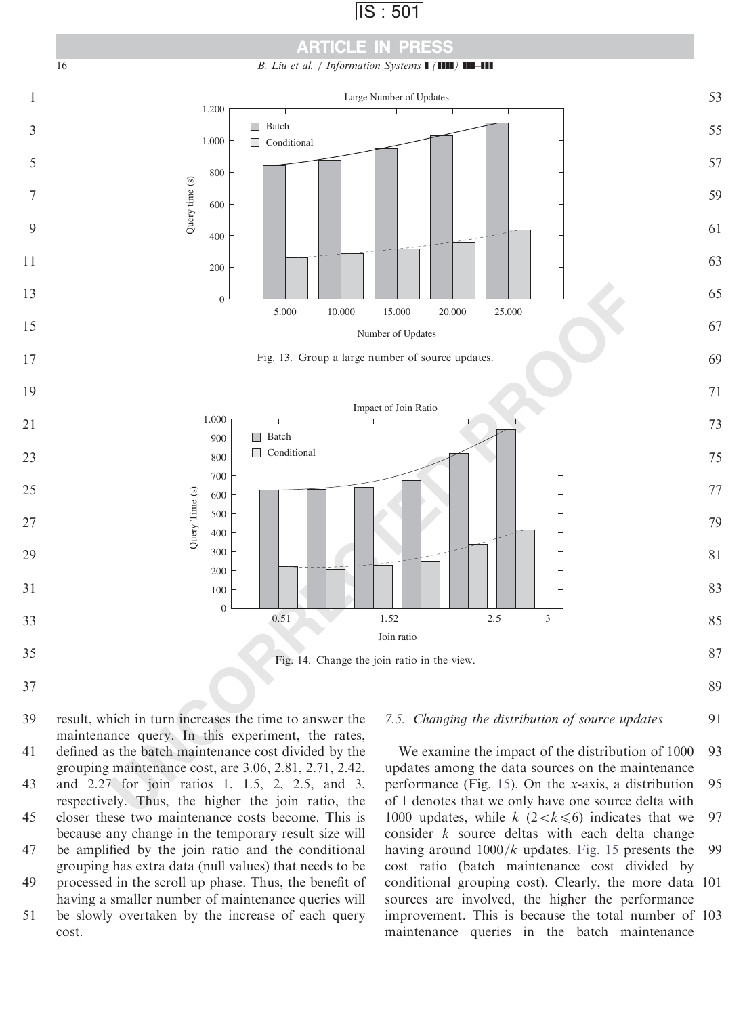



<span id="page-15-0"></span>

#### 7.5. Changing the distribution of source updates 91

result, which in turn increases the time to answer the maintenance query. In this experiment, the rates, defined as the batch maintenance cost divided by the grouping maintenance cost, are 3.06, 2.81, 2.71, 2.42, and 2.27 for join ratios 1, 1.5, 2, 2.5, and 3, respectively. Thus, the higher the join ratio, the closer these two maintenance costs become. This is because any change in the temporary result size will be amplified by the join ratio and the conditional grouping has extra data (null values) that needs to be processed in the scroll up phase. Thus, the benefit of 39 41 43 45 47 49

having a smaller number of maintenance queries will be slowly overtaken by the increase of each query cost. 51

We examine the impact of the distribution of 1000 updates among the data sources on the maintenance performance (Fig. 15). On the x-axis, a distribution of 1 denotes that we only have one source delta with 1000 updates, while  $k$  (2 < k \le \le \sigma\_of ) indicates that we consider  $k$  source deltas with each delta change having around  $1000/k$  updates. [Fig. 15](#page-16-0) presents the cost ratio (batch maintenance cost divided by conditional grouping cost). Clearly, the more data 101 sources are involved, the higher the performance improvement. This is because the total number of 103 maintenance queries in the batch maintenance 93 95 97 99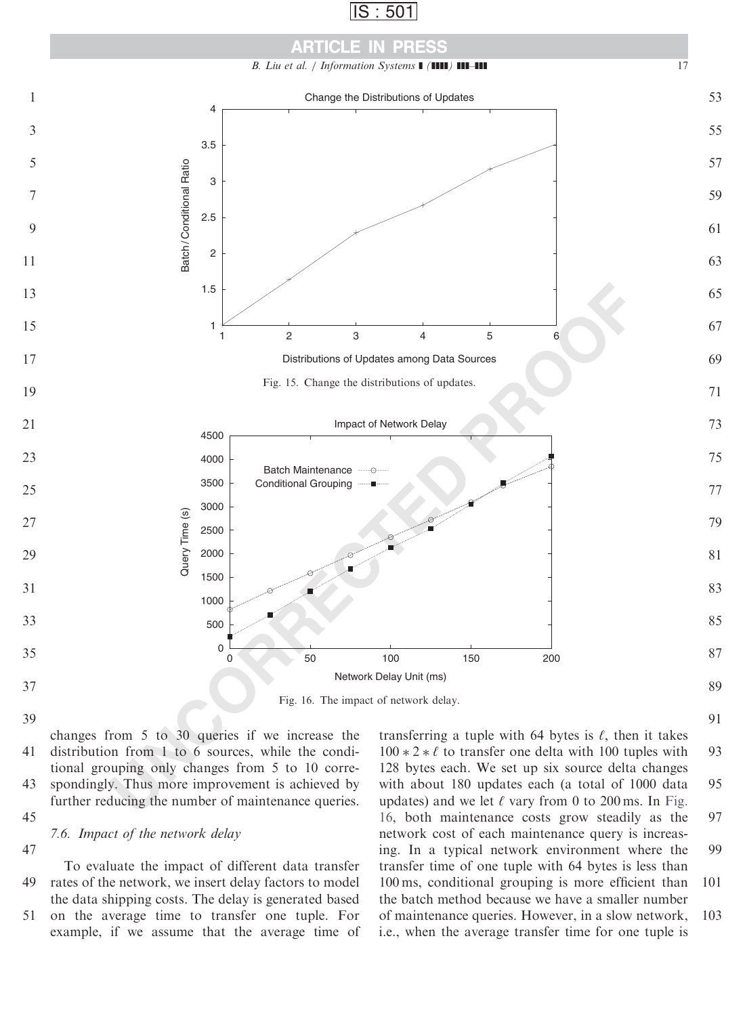|--|

<span id="page-16-0"></span>

changes from 5 to 30 queries if we increase the distribution from 1 to 6 sources, while the conditional grouping only changes from 5 to 10 correspondingly. Thus more improvement is achieved by further reducing the number of maintenance queries. 

7.6. Impact of the network delay

To evaluate the impact of different data transfer rates of the network, we insert delay factors to model the data shipping costs. The delay is generated based 

on the average time to transfer one tuple. For example, if we assume that the average time of 

transferring a tuple with 64 bytes is  $\ell$ , then it takes  $100 * 2 * \ell$  to transfer one delta with 100 tuples with 128 bytes each. We set up six source delta changes with about 180 updates each (a total of 1000 data updates) and we let  $\ell$  vary from 0 to 200 ms. In Fig. 16, both maintenance costs grow steadily as the network cost of each maintenance query is increasing. In a typical network environment where the transfer time of one tuple with 64 bytes is less than 100 ms, conditional grouping is more efficient than the batch method because we have a smaller number of maintenance queries. However, in a slow network, i.e., when the average transfer time for one tuple is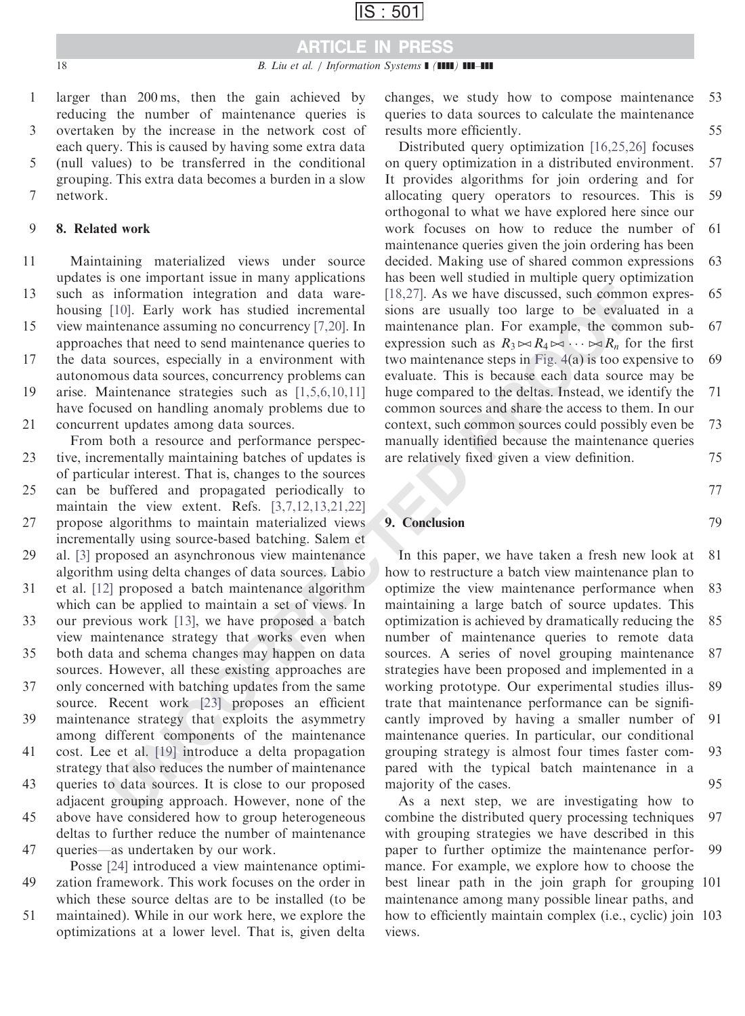# ARTICLE IN PRESS

larger than 200 ms, then the gain achieved by reducing the number of maintenance queries is overtaken by the increase in the network cost of each query. This is caused by having some extra data (null values) to be transferred in the conditional grouping. This extra data becomes a burden in a slow network. 1 3 5 7

#### 8. Related work 9

Maintaining materialized views under source updates is one important issue in many applications such as information integration and data warehousing [10]. Early work has studied incremental 11 13

view maintenance assuming no concurrency [7,20]. In approaches that need to send maintenance queries to 15

the data sources, especially in a environment with autonomous data sources, concurrency problems can 17

arise. Maintenance strategies such as [1,5,6,10,11] have focused on handling anomaly problems due to concurrent updates among data sources. 19 21

From both a resource and performance perspective, incrementally maintaining batches of updates is of particular interest. That is, changes to the sources can be buffered and propagated periodically to maintain the view extent. Refs. [3,7,12,13,21,22] 23 25

propose algorithms to maintain materialized views incrementally using source-based batching. Salem et 27

al. [\[3\]](#page-18-0) proposed an asynchronous view maintenance algorithm using delta changes of data sources. Labio 29

et al. [\[12\]](#page-18-0) proposed a batch maintenance algorithm which can be applied to maintain a set of views. In our previous work [13], we have proposed a batch 31 33

view maintenance strategy that works even when both data and schema changes may happen on data 35

sources. However, all these existing approaches are only concerned with batching updates from the same source. Recent work [23] proposes an efficient 37

maintenance strategy that exploits the asymmetry among different components of the maintenance 39

cost. Lee et al. [19] introduce a delta propagation strategy that also reduces the number of maintenance 41

queries to data sources. It is close to our proposed adjacent grouping approach. However, none of the above have considered how to group heterogeneous 43 45

deltas to further reduce the number of maintenance queries—as undertaken by our work. 47

Posse [\[24\]](#page-18-0) introduced a view maintenance optimization framework. This work focuses on the order in which these source deltas are to be installed (to be maintained). While in our work here, we explore the 49 51

optimizations at a lower level. That is, given delta

changes, we study how to compose maintenance queries to data sources to calculate the maintenance results more efficiently. 53 55

Distributed query optimization [\[16,25,26\]](#page-18-0) focuses on query optimization in a distributed environment. It provides algorithms for join ordering and for allocating query operators to resources. This is orthogonal to what we have explored here since our work focuses on how to reduce the number of maintenance queries given the join ordering has been decided. Making use of shared common expressions has been well studied in multiple query optimization [18,27]. As we have discussed, such common expressions are usually too large to be evaluated in a maintenance plan. For example, the common subexpression such as  $R_3 \bowtie R_4 \bowtie \cdots \bowtie R_n$  for the first two maintenance steps in Fig. 4(a) is too expensive to evaluate. This is because each data source may be huge compared to the deltas. Instead, we identify the common sources and share the access to them. In our context, such common sources could possibly even be manually identified because the maintenance queries are relatively fixed given a view definition. 57 59 61 63 65 67 69 71 73 75

77

79

### 9. Conclusion

information integration and data ware-<br>
[18,27]. As we have discussed, such common information is<br>
(19), Early work has studied intermental sions are usually too large to be evaluate<br>
then asses that need to send antinena In this paper, we have taken a fresh new look at how to restructure a batch view maintenance plan to optimize the view maintenance performance when maintaining a large batch of source updates. This optimization is achieved by dramatically reducing the number of maintenance queries to remote data sources. A series of novel grouping maintenance strategies have been proposed and implemented in a working prototype. Our experimental studies illustrate that maintenance performance can be significantly improved by having a smaller number of maintenance queries. In particular, our conditional grouping strategy is almost four times faster compared with the typical batch maintenance in a majority of the cases. 81 83 85 87 89 91 93 95

As a next step, we are investigating how to combine the distributed query processing techniques with grouping strategies we have described in this paper to further optimize the maintenance performance. For example, we explore how to choose the best linear path in the join graph for grouping 101 maintenance among many possible linear paths, and how to efficiently maintain complex (i.e., cyclic) join 103 views. 97 99